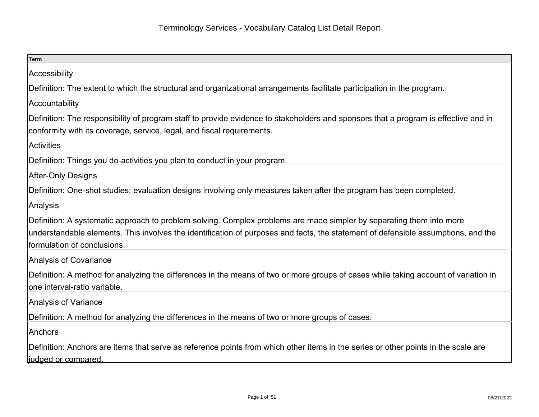| Term                                                                                                                                                                                                                                                                                     |
|------------------------------------------------------------------------------------------------------------------------------------------------------------------------------------------------------------------------------------------------------------------------------------------|
| Accessibility                                                                                                                                                                                                                                                                            |
| Definition: The extent to which the structural and organizational arrangements facilitate participation in the program.                                                                                                                                                                  |
| Accountability                                                                                                                                                                                                                                                                           |
| Definition: The responsibility of program staff to provide evidence to stakeholders and sponsors that a program is effective and in<br>conformity with its coverage, service, legal, and fiscal requirements.                                                                            |
| Activities                                                                                                                                                                                                                                                                               |
| Definition: Things you do-activities you plan to conduct in your program.                                                                                                                                                                                                                |
| After-Only Designs                                                                                                                                                                                                                                                                       |
| Definition: One-shot studies; evaluation designs involving only measures taken after the program has been completed.                                                                                                                                                                     |
| Analysis                                                                                                                                                                                                                                                                                 |
| Definition: A systematic approach to problem solving. Complex problems are made simpler by separating them into more<br>understandable elements. This involves the identification of purposes and facts, the statement of defensible assumptions, and the<br>formulation of conclusions. |
| Analysis of Covariance                                                                                                                                                                                                                                                                   |
| Definition: A method for analyzing the differences in the means of two or more groups of cases while taking account of variation in<br>one interval-ratio variable.                                                                                                                      |
| Analysis of Variance                                                                                                                                                                                                                                                                     |
| Definition: A method for analyzing the differences in the means of two or more groups of cases.                                                                                                                                                                                          |
| Anchors                                                                                                                                                                                                                                                                                  |
| Definition: Anchors are items that serve as reference points from which other items in the series or other points in the scale are<br>ljudged or compared                                                                                                                                |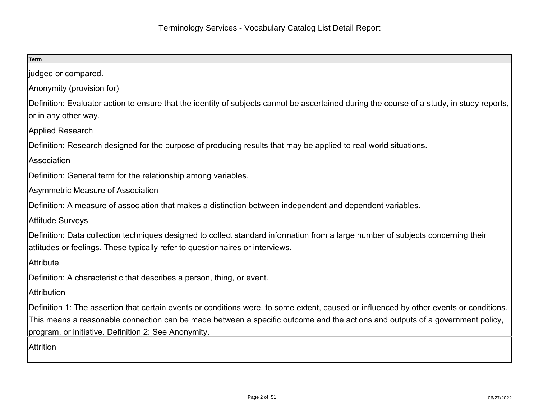| Term                                                                                                                                       |
|--------------------------------------------------------------------------------------------------------------------------------------------|
| judged or compared.                                                                                                                        |
| Anonymity (provision for)                                                                                                                  |
| Definition: Evaluator action to ensure that the identity of subjects cannot be ascertained during the course of a study, in study reports, |
| or in any other way.                                                                                                                       |
| Applied Research                                                                                                                           |
| Definition: Research designed for the purpose of producing results that may be applied to real world situations.                           |
| Association                                                                                                                                |
| Definition: General term for the relationship among variables.                                                                             |
| Asymmetric Measure of Association                                                                                                          |
| Definition: A measure of association that makes a distinction between independent and dependent variables.                                 |
| Attitude Surveys                                                                                                                           |
| Definition: Data collection techniques designed to collect standard information from a large number of subjects concerning their           |
| attitudes or feelings. These typically refer to questionnaires or interviews.                                                              |
| Attribute                                                                                                                                  |
| Definition: A characteristic that describes a person, thing, or event.                                                                     |
| Attribution                                                                                                                                |
| Definition 1: The assertion that certain events or conditions were, to some extent, caused or influenced by other events or conditions.    |
| This means a reasonable connection can be made between a specific outcome and the actions and outputs of a government policy,              |
| program, or initiative. Definition 2: See Anonymity.                                                                                       |
| <b>Attrition</b>                                                                                                                           |
|                                                                                                                                            |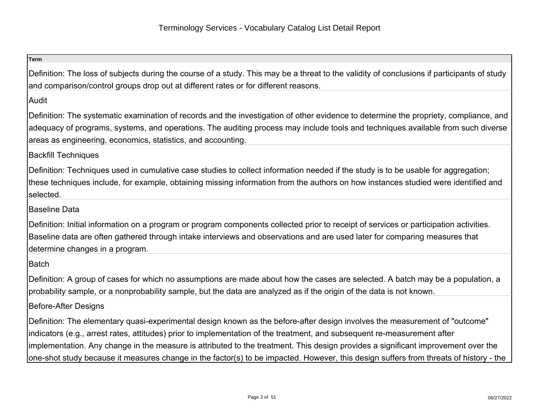| <b>Term</b>                                                                                                                                                                                                                                                                                                                                                                                                                                                                                                                           |
|---------------------------------------------------------------------------------------------------------------------------------------------------------------------------------------------------------------------------------------------------------------------------------------------------------------------------------------------------------------------------------------------------------------------------------------------------------------------------------------------------------------------------------------|
| Definition: The loss of subjects during the course of a study. This may be a threat to the validity of conclusions if participants of study<br>and comparison/control groups drop out at different rates or for different reasons.                                                                                                                                                                                                                                                                                                    |
| Audit                                                                                                                                                                                                                                                                                                                                                                                                                                                                                                                                 |
| Definition: The systematic examination of records and the investigation of other evidence to determine the propriety, compliance, and<br>adequacy of programs, systems, and operations. The auditing process may include tools and techniques available from such diverse<br>areas as engineering, economics, statistics, and accounting.                                                                                                                                                                                             |
| <b>Backfill Techniques</b>                                                                                                                                                                                                                                                                                                                                                                                                                                                                                                            |
| Definition: Techniques used in cumulative case studies to collect information needed if the study is to be usable for aggregation;<br>these techniques include, for example, obtaining missing information from the authors on how instances studied were identified and<br>selected.                                                                                                                                                                                                                                                 |
| Baseline Data                                                                                                                                                                                                                                                                                                                                                                                                                                                                                                                         |
| Definition: Initial information on a program or program components collected prior to receipt of services or participation activities.<br>Baseline data are often gathered through intake interviews and observations and are used later for comparing measures that<br>determine changes in a program.                                                                                                                                                                                                                               |
| Batch                                                                                                                                                                                                                                                                                                                                                                                                                                                                                                                                 |
| Definition: A group of cases for which no assumptions are made about how the cases are selected. A batch may be a population, a<br>probability sample, or a nonprobability sample, but the data are analyzed as if the origin of the data is not known.                                                                                                                                                                                                                                                                               |
| Before-After Designs                                                                                                                                                                                                                                                                                                                                                                                                                                                                                                                  |
| Definition: The elementary quasi-experimental design known as the before-after design involves the measurement of "outcome"<br>indicators (e.g., arrest rates, attitudes) prior to implementation of the treatment, and subsequent re-measurement after<br>implementation. Any change in the measure is attributed to the treatment. This design provides a significant improvement over the<br>one-shot study because it measures change in the factor(s) to be impacted. However, this design suffers from threats of history - the |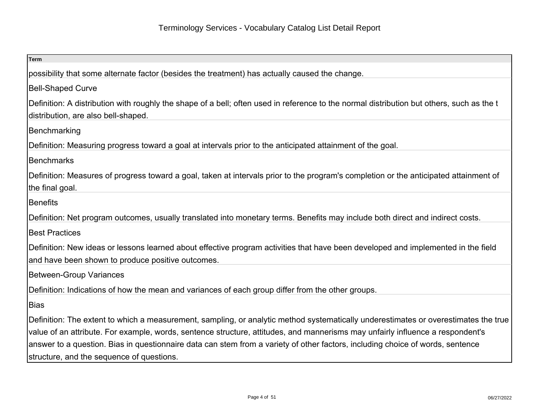| <b>Term</b>                                                                                                                                                                            |
|----------------------------------------------------------------------------------------------------------------------------------------------------------------------------------------|
| possibility that some alternate factor (besides the treatment) has actually caused the change.                                                                                         |
| <b>Bell-Shaped Curve</b>                                                                                                                                                               |
| Definition: A distribution with roughly the shape of a bell; often used in reference to the normal distribution but others, such as the t<br>distribution, are also bell-shaped.       |
| Benchmarking                                                                                                                                                                           |
| Definition: Measuring progress toward a goal at intervals prior to the anticipated attainment of the goal.                                                                             |
| <b>Benchmarks</b>                                                                                                                                                                      |
| Definition: Measures of progress toward a goal, taken at intervals prior to the program's completion or the anticipated attainment of                                                  |
| the final goal.                                                                                                                                                                        |
| <b>Benefits</b>                                                                                                                                                                        |
| Definition: Net program outcomes, usually translated into monetary terms. Benefits may include both direct and indirect costs.                                                         |
| <b>Best Practices</b>                                                                                                                                                                  |
| Definition: New ideas or lessons learned about effective program activities that have been developed and implemented in the field<br>and have been shown to produce positive outcomes. |
| <b>Between-Group Variances</b>                                                                                                                                                         |
| Definition: Indications of how the mean and variances of each group differ from the other groups.                                                                                      |
| <b>Bias</b>                                                                                                                                                                            |
| Definition: The extent to which a measurement, sampling, or analytic method systematically underestimates or overestimates the true                                                    |
| value of an attribute. For example, words, sentence structure, attitudes, and mannerisms may unfairly influence a respondent's                                                         |
| answer to a question. Bias in questionnaire data can stem from a variety of other factors, including choice of words, sentence                                                         |
| structure, and the sequence of questions.                                                                                                                                              |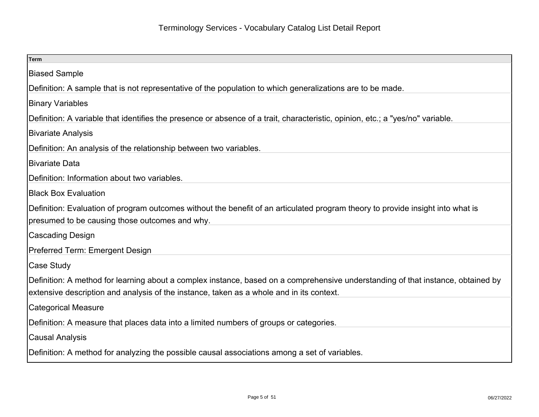| <b>Term</b>                                                                                                                      |
|----------------------------------------------------------------------------------------------------------------------------------|
| <b>Biased Sample</b>                                                                                                             |
| Definition: A sample that is not representative of the population to which generalizations are to be made.                       |
| <b>Binary Variables</b>                                                                                                          |
| Definition: A variable that identifies the presence or absence of a trait, characteristic, opinion, etc.; a "yes/no" variable.   |
| <b>Bivariate Analysis</b>                                                                                                        |
| Definition: An analysis of the relationship between two variables.                                                               |
| <b>Bivariate Data</b>                                                                                                            |
| Definition: Information about two variables.                                                                                     |
| <b>Black Box Evaluation</b>                                                                                                      |
| Definition: Evaluation of program outcomes without the benefit of an articulated program theory to provide insight into what is  |
| presumed to be causing those outcomes and why.                                                                                   |
| <b>Cascading Design</b>                                                                                                          |
| Preferred Term: Emergent Design                                                                                                  |
| Case Study                                                                                                                       |
| Definition: A method for learning about a complex instance, based on a comprehensive understanding of that instance, obtained by |
| extensive description and analysis of the instance, taken as a whole and in its context.                                         |
| <b>Categorical Measure</b>                                                                                                       |
| Definition: A measure that places data into a limited numbers of groups or categories.                                           |
| <b>Causal Analysis</b>                                                                                                           |
| Definition: A method for analyzing the possible causal associations among a set of variables.                                    |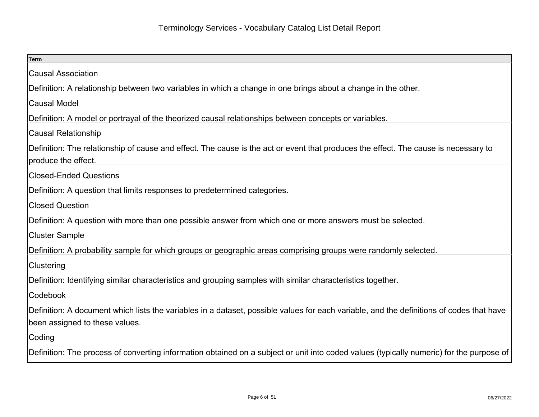| <b>Term</b>                                                                                                                                                                |
|----------------------------------------------------------------------------------------------------------------------------------------------------------------------------|
| <b>Causal Association</b>                                                                                                                                                  |
| Definition: A relationship between two variables in which a change in one brings about a change in the other.                                                              |
| <b>Causal Model</b>                                                                                                                                                        |
| Definition: A model or portrayal of the theorized causal relationships between concepts or variables.                                                                      |
| <b>Causal Relationship</b>                                                                                                                                                 |
| Definition: The relationship of cause and effect. The cause is the act or event that produces the effect. The cause is necessary to<br>produce the effect.                 |
| <b>Closed-Ended Questions</b>                                                                                                                                              |
| Definition: A question that limits responses to predetermined categories.                                                                                                  |
| <b>Closed Question</b>                                                                                                                                                     |
| Definition: A question with more than one possible answer from which one or more answers must be selected.                                                                 |
| <b>Cluster Sample</b>                                                                                                                                                      |
| Definition: A probability sample for which groups or geographic areas comprising groups were randomly selected.                                                            |
| Clustering                                                                                                                                                                 |
| Definition: Identifying similar characteristics and grouping samples with similar characteristics together.                                                                |
| Codebook                                                                                                                                                                   |
| Definition: A document which lists the variables in a dataset, possible values for each variable, and the definitions of codes that have<br>been assigned to these values. |
| Coding                                                                                                                                                                     |
| Definition: The process of converting information obtained on a subject or unit into coded values (typically numeric) for the purpose of                                   |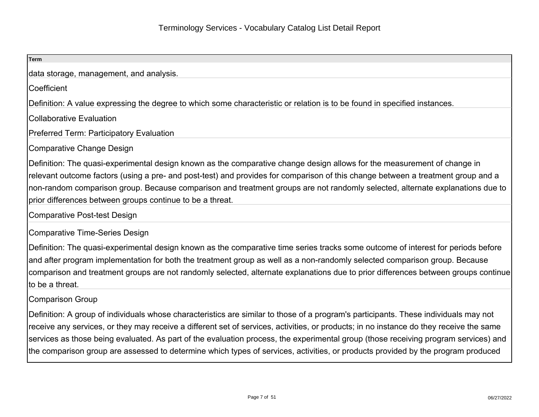| <b>Term</b>                                                                                                                                                                                                                                                                                                                                                                                                                                                                                                                                                |
|------------------------------------------------------------------------------------------------------------------------------------------------------------------------------------------------------------------------------------------------------------------------------------------------------------------------------------------------------------------------------------------------------------------------------------------------------------------------------------------------------------------------------------------------------------|
| data storage, management, and analysis.                                                                                                                                                                                                                                                                                                                                                                                                                                                                                                                    |
| Coefficient                                                                                                                                                                                                                                                                                                                                                                                                                                                                                                                                                |
| Definition: A value expressing the degree to which some characteristic or relation is to be found in specified instances.                                                                                                                                                                                                                                                                                                                                                                                                                                  |
| <b>Collaborative Evaluation</b>                                                                                                                                                                                                                                                                                                                                                                                                                                                                                                                            |
| <b>Preferred Term: Participatory Evaluation</b>                                                                                                                                                                                                                                                                                                                                                                                                                                                                                                            |
| Comparative Change Design                                                                                                                                                                                                                                                                                                                                                                                                                                                                                                                                  |
| Definition: The quasi-experimental design known as the comparative change design allows for the measurement of change in<br>relevant outcome factors (using a pre- and post-test) and provides for comparison of this change between a treatment group and a<br>non-random comparison group. Because comparison and treatment groups are not randomly selected, alternate explanations due to<br>prior differences between groups continue to be a threat.                                                                                                 |
| Comparative Post-test Design                                                                                                                                                                                                                                                                                                                                                                                                                                                                                                                               |
| Comparative Time-Series Design                                                                                                                                                                                                                                                                                                                                                                                                                                                                                                                             |
| Definition: The quasi-experimental design known as the comparative time series tracks some outcome of interest for periods before<br>and after program implementation for both the treatment group as well as a non-randomly selected comparison group. Because<br>comparison and treatment groups are not randomly selected, alternate explanations due to prior differences between groups continue<br>to be a threat.                                                                                                                                   |
| Comparison Group                                                                                                                                                                                                                                                                                                                                                                                                                                                                                                                                           |
| Definition: A group of individuals whose characteristics are similar to those of a program's participants. These individuals may not<br>receive any services, or they may receive a different set of services, activities, or products; in no instance do they receive the same<br>services as those being evaluated. As part of the evaluation process, the experimental group (those receiving program services) and<br>the comparison group are assessed to determine which types of services, activities, or products provided by the program produced |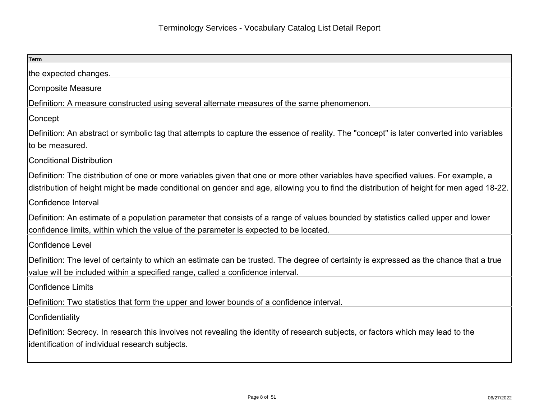| <b>Term</b>                                                                                                                                                                                                                                                                   |
|-------------------------------------------------------------------------------------------------------------------------------------------------------------------------------------------------------------------------------------------------------------------------------|
| the expected changes.                                                                                                                                                                                                                                                         |
| <b>Composite Measure</b>                                                                                                                                                                                                                                                      |
| Definition: A measure constructed using several alternate measures of the same phenomenon.                                                                                                                                                                                    |
| Concept                                                                                                                                                                                                                                                                       |
| Definition: An abstract or symbolic tag that attempts to capture the essence of reality. The "concept" is later converted into variables<br>to be measured.                                                                                                                   |
| <b>Conditional Distribution</b>                                                                                                                                                                                                                                               |
| Definition: The distribution of one or more variables given that one or more other variables have specified values. For example, a<br>distribution of height might be made conditional on gender and age, allowing you to find the distribution of height for men aged 18-22. |
| Confidence Interval                                                                                                                                                                                                                                                           |
| Definition: An estimate of a population parameter that consists of a range of values bounded by statistics called upper and lower<br>confidence limits, within which the value of the parameter is expected to be located.                                                    |
| <b>Confidence Level</b>                                                                                                                                                                                                                                                       |
| Definition: The level of certainty to which an estimate can be trusted. The degree of certainty is expressed as the chance that a true<br>value will be included within a specified range, called a confidence interval.                                                      |
| <b>Confidence Limits</b>                                                                                                                                                                                                                                                      |
| Definition: Two statistics that form the upper and lower bounds of a confidence interval.                                                                                                                                                                                     |
| Confidentiality                                                                                                                                                                                                                                                               |
| Definition: Secrecy. In research this involves not revealing the identity of research subjects, or factors which may lead to the<br>identification of individual research subjects.                                                                                           |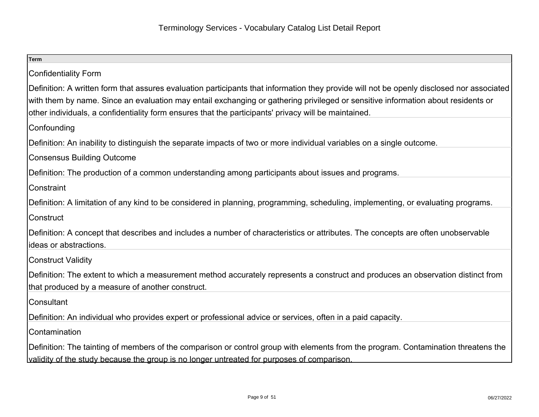| <b>Term</b>                                                                                                                               |
|-------------------------------------------------------------------------------------------------------------------------------------------|
| <b>Confidentiality Form</b>                                                                                                               |
| Definition: A written form that assures evaluation participants that information they provide will not be openly disclosed nor associated |
| with them by name. Since an evaluation may entail exchanging or gathering privileged or sensitive information about residents or          |
| other individuals, a confidentiality form ensures that the participants' privacy will be maintained.                                      |
| Confounding                                                                                                                               |
| Definition: An inability to distinguish the separate impacts of two or more individual variables on a single outcome.                     |
| <b>Consensus Building Outcome</b>                                                                                                         |
| Definition: The production of a common understanding among participants about issues and programs.                                        |
| Constraint                                                                                                                                |
| Definition: A limitation of any kind to be considered in planning, programming, scheduling, implementing, or evaluating programs.         |
| Construct                                                                                                                                 |
| Definition: A concept that describes and includes a number of characteristics or attributes. The concepts are often unobservable          |
| ideas or abstractions.                                                                                                                    |
| <b>Construct Validity</b>                                                                                                                 |
| Definition: The extent to which a measurement method accurately represents a construct and produces an observation distinct from          |
| that produced by a measure of another construct.                                                                                          |
| Consultant                                                                                                                                |
| Definition: An individual who provides expert or professional advice or services, often in a paid capacity.                               |
| Contamination                                                                                                                             |
| Definition: The tainting of members of the comparison or control group with elements from the program. Contamination threatens the        |
| validity of the study because the group is no longer untreated for purposes of comparison.                                                |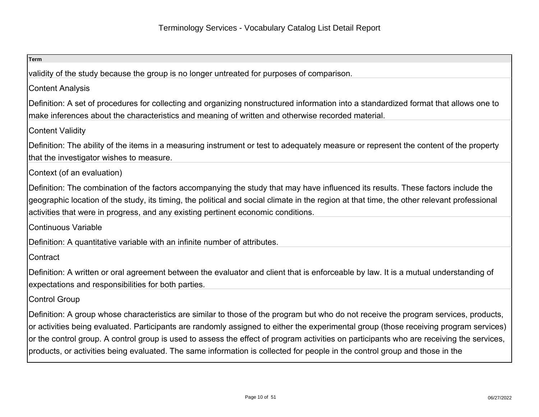| <b>Term</b>                                                                                                                                                                                                                                                                                                                                                                                                                                                                                                                                              |
|----------------------------------------------------------------------------------------------------------------------------------------------------------------------------------------------------------------------------------------------------------------------------------------------------------------------------------------------------------------------------------------------------------------------------------------------------------------------------------------------------------------------------------------------------------|
| validity of the study because the group is no longer untreated for purposes of comparison.                                                                                                                                                                                                                                                                                                                                                                                                                                                               |
| <b>Content Analysis</b>                                                                                                                                                                                                                                                                                                                                                                                                                                                                                                                                  |
| Definition: A set of procedures for collecting and organizing nonstructured information into a standardized format that allows one to<br>make inferences about the characteristics and meaning of written and otherwise recorded material.                                                                                                                                                                                                                                                                                                               |
| <b>Content Validity</b>                                                                                                                                                                                                                                                                                                                                                                                                                                                                                                                                  |
| Definition: The ability of the items in a measuring instrument or test to adequately measure or represent the content of the property<br>that the investigator wishes to measure.                                                                                                                                                                                                                                                                                                                                                                        |
| Context (of an evaluation)                                                                                                                                                                                                                                                                                                                                                                                                                                                                                                                               |
| Definition: The combination of the factors accompanying the study that may have influenced its results. These factors include the<br>geographic location of the study, its timing, the political and social climate in the region at that time, the other relevant professional<br>activities that were in progress, and any existing pertinent economic conditions.                                                                                                                                                                                     |
| Continuous Variable                                                                                                                                                                                                                                                                                                                                                                                                                                                                                                                                      |
| Definition: A quantitative variable with an infinite number of attributes.                                                                                                                                                                                                                                                                                                                                                                                                                                                                               |
| Contract                                                                                                                                                                                                                                                                                                                                                                                                                                                                                                                                                 |
| Definition: A written or oral agreement between the evaluator and client that is enforceable by law. It is a mutual understanding of<br>expectations and responsibilities for both parties.                                                                                                                                                                                                                                                                                                                                                              |
| <b>Control Group</b>                                                                                                                                                                                                                                                                                                                                                                                                                                                                                                                                     |
| Definition: A group whose characteristics are similar to those of the program but who do not receive the program services, products,<br>or activities being evaluated. Participants are randomly assigned to either the experimental group (those receiving program services)<br>or the control group. A control group is used to assess the effect of program activities on participants who are receiving the services,<br>products, or activities being evaluated. The same information is collected for people in the control group and those in the |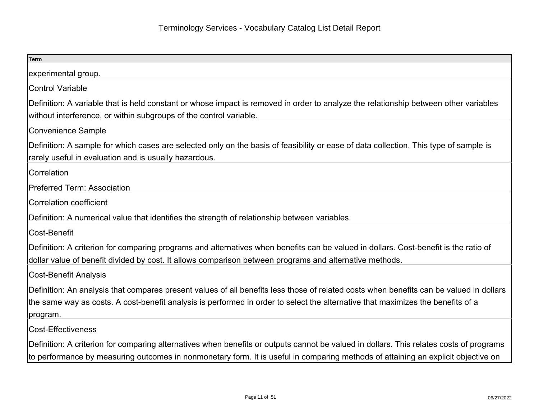| <b>Term</b>                                                                                                                                                                                                                                                                            |
|----------------------------------------------------------------------------------------------------------------------------------------------------------------------------------------------------------------------------------------------------------------------------------------|
| experimental group.                                                                                                                                                                                                                                                                    |
| <b>Control Variable</b>                                                                                                                                                                                                                                                                |
| Definition: A variable that is held constant or whose impact is removed in order to analyze the relationship between other variables<br>without interference, or within subgroups of the control variable.                                                                             |
| <b>Convenience Sample</b>                                                                                                                                                                                                                                                              |
| Definition: A sample for which cases are selected only on the basis of feasibility or ease of data collection. This type of sample is<br>rarely useful in evaluation and is usually hazardous.                                                                                         |
| Correlation                                                                                                                                                                                                                                                                            |
| <b>Preferred Term: Association</b>                                                                                                                                                                                                                                                     |
| <b>Correlation coefficient</b>                                                                                                                                                                                                                                                         |
| Definition: A numerical value that identifies the strength of relationship between variables.                                                                                                                                                                                          |
| Cost-Benefit                                                                                                                                                                                                                                                                           |
| Definition: A criterion for comparing programs and alternatives when benefits can be valued in dollars. Cost-benefit is the ratio of<br>dollar value of benefit divided by cost. It allows comparison between programs and alternative methods.                                        |
| <b>Cost-Benefit Analysis</b>                                                                                                                                                                                                                                                           |
| Definition: An analysis that compares present values of all benefits less those of related costs when benefits can be valued in dollars<br>the same way as costs. A cost-benefit analysis is performed in order to select the alternative that maximizes the benefits of a<br>program. |
| <b>Cost-Effectiveness</b>                                                                                                                                                                                                                                                              |
| Definition: A criterion for comparing alternatives when benefits or outputs cannot be valued in dollars. This relates costs of programs<br>to performance by measuring outcomes in nonmonetary form. It is useful in comparing methods of attaining an explicit objective on           |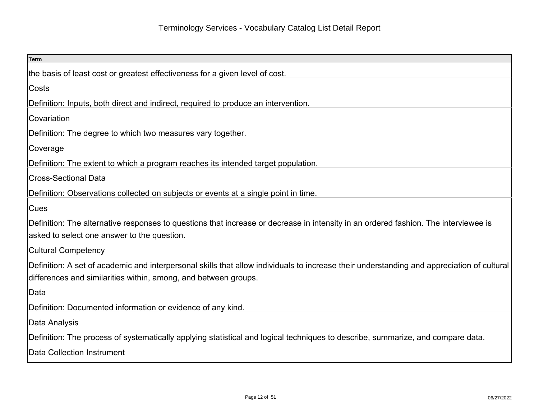| <b>Term</b>                                                                                                                                                                                                   |
|---------------------------------------------------------------------------------------------------------------------------------------------------------------------------------------------------------------|
| the basis of least cost or greatest effectiveness for a given level of cost.                                                                                                                                  |
| Costs                                                                                                                                                                                                         |
| Definition: Inputs, both direct and indirect, required to produce an intervention.                                                                                                                            |
| Covariation                                                                                                                                                                                                   |
| Definition: The degree to which two measures vary together.                                                                                                                                                   |
| Coverage                                                                                                                                                                                                      |
| Definition: The extent to which a program reaches its intended target population.                                                                                                                             |
| <b>Cross-Sectional Data</b>                                                                                                                                                                                   |
| Definition: Observations collected on subjects or events at a single point in time.                                                                                                                           |
| <b>Cues</b>                                                                                                                                                                                                   |
| Definition: The alternative responses to questions that increase or decrease in intensity in an ordered fashion. The interviewee is<br>asked to select one answer to the question.                            |
| <b>Cultural Competency</b>                                                                                                                                                                                    |
| Definition: A set of academic and interpersonal skills that allow individuals to increase their understanding and appreciation of cultural<br>differences and similarities within, among, and between groups. |
| Data                                                                                                                                                                                                          |
| Definition: Documented information or evidence of any kind.                                                                                                                                                   |
| Data Analysis                                                                                                                                                                                                 |
| Definition: The process of systematically applying statistical and logical techniques to describe, summarize, and compare data.                                                                               |
| Data Collection Instrument                                                                                                                                                                                    |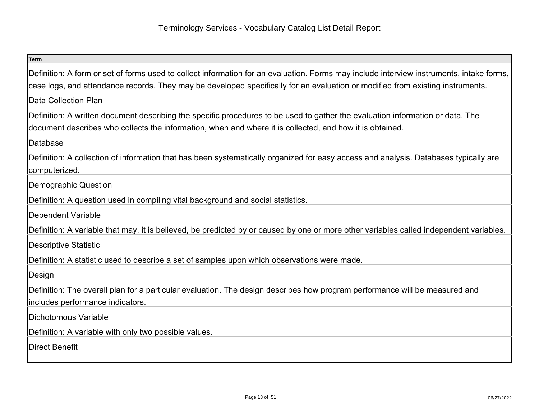| <b>Term</b>                                                                                                                                                                                                                                                                |
|----------------------------------------------------------------------------------------------------------------------------------------------------------------------------------------------------------------------------------------------------------------------------|
| Definition: A form or set of forms used to collect information for an evaluation. Forms may include interview instruments, intake forms,<br>case logs, and attendance records. They may be developed specifically for an evaluation or modified from existing instruments. |
| Data Collection Plan                                                                                                                                                                                                                                                       |
| Definition: A written document describing the specific procedures to be used to gather the evaluation information or data. The<br>document describes who collects the information, when and where it is collected, and how it is obtained.                                 |
| Database                                                                                                                                                                                                                                                                   |
| Definition: A collection of information that has been systematically organized for easy access and analysis. Databases typically are<br>computerized.                                                                                                                      |
| Demographic Question                                                                                                                                                                                                                                                       |
| Definition: A question used in compiling vital background and social statistics.                                                                                                                                                                                           |
| <b>Dependent Variable</b>                                                                                                                                                                                                                                                  |
| Definition: A variable that may, it is believed, be predicted by or caused by one or more other variables called independent variables.                                                                                                                                    |
| <b>Descriptive Statistic</b>                                                                                                                                                                                                                                               |
| Definition: A statistic used to describe a set of samples upon which observations were made.                                                                                                                                                                               |
| Design                                                                                                                                                                                                                                                                     |
| Definition: The overall plan for a particular evaluation. The design describes how program performance will be measured and                                                                                                                                                |
| includes performance indicators.                                                                                                                                                                                                                                           |
| Dichotomous Variable                                                                                                                                                                                                                                                       |
| Definition: A variable with only two possible values.                                                                                                                                                                                                                      |
| <b>Direct Benefit</b>                                                                                                                                                                                                                                                      |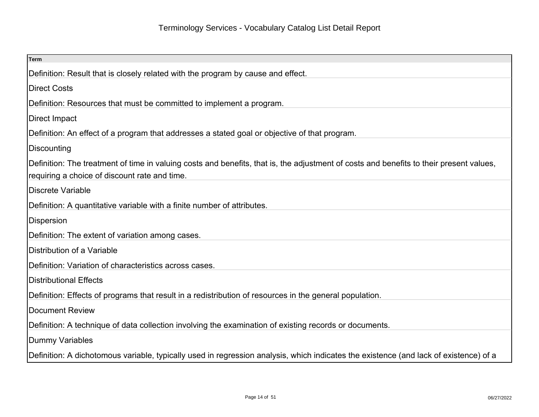| Term                                                                                                                                                                                     |
|------------------------------------------------------------------------------------------------------------------------------------------------------------------------------------------|
| Definition: Result that is closely related with the program by cause and effect.                                                                                                         |
| Direct Costs                                                                                                                                                                             |
| Definition: Resources that must be committed to implement a program.                                                                                                                     |
| Direct Impact                                                                                                                                                                            |
| Definition: An effect of a program that addresses a stated goal or objective of that program.                                                                                            |
| Discounting                                                                                                                                                                              |
| Definition: The treatment of time in valuing costs and benefits, that is, the adjustment of costs and benefits to their present values,<br>requiring a choice of discount rate and time. |
| Discrete Variable                                                                                                                                                                        |
| Definition: A quantitative variable with a finite number of attributes.                                                                                                                  |
| Dispersion                                                                                                                                                                               |
| Definition: The extent of variation among cases.                                                                                                                                         |
| Distribution of a Variable                                                                                                                                                               |
| Definition: Variation of characteristics across cases.                                                                                                                                   |
| Distributional Effects                                                                                                                                                                   |
| Definition: Effects of programs that result in a redistribution of resources in the general population.                                                                                  |
| Document Review                                                                                                                                                                          |
| Definition: A technique of data collection involving the examination of existing records or documents.                                                                                   |
| Dummy Variables                                                                                                                                                                          |
| Definition: A dichotomous variable, typically used in regression analysis, which indicates the existence (and lack of existence) of a                                                    |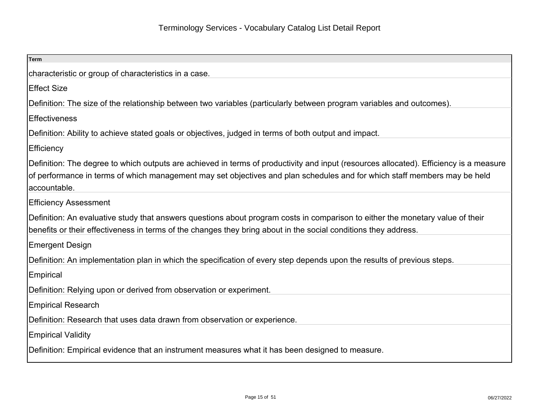| Term                                                                                                                                   |
|----------------------------------------------------------------------------------------------------------------------------------------|
| characteristic or group of characteristics in a case.                                                                                  |
| <b>Effect Size</b>                                                                                                                     |
| Definition: The size of the relationship between two variables (particularly between program variables and outcomes).                  |
| <b>Effectiveness</b>                                                                                                                   |
| Definition: Ability to achieve stated goals or objectives, judged in terms of both output and impact.                                  |
| <b>Efficiency</b>                                                                                                                      |
| Definition: The degree to which outputs are achieved in terms of productivity and input (resources allocated). Efficiency is a measure |
| of performance in terms of which management may set objectives and plan schedules and for which staff members may be held              |
| accountable.                                                                                                                           |
| <b>Efficiency Assessment</b>                                                                                                           |
| Definition: An evaluative study that answers questions about program costs in comparison to either the monetary value of their         |
| benefits or their effectiveness in terms of the changes they bring about in the social conditions they address.                        |
| Emergent Design                                                                                                                        |
| Definition: An implementation plan in which the specification of every step depends upon the results of previous steps.                |
| <b>Empirical</b>                                                                                                                       |
| Definition: Relying upon or derived from observation or experiment.                                                                    |
| <b>Empirical Research</b>                                                                                                              |
| Definition: Research that uses data drawn from observation or experience.                                                              |
| <b>Empirical Validity</b>                                                                                                              |
| Definition: Empirical evidence that an instrument measures what it has been designed to measure.                                       |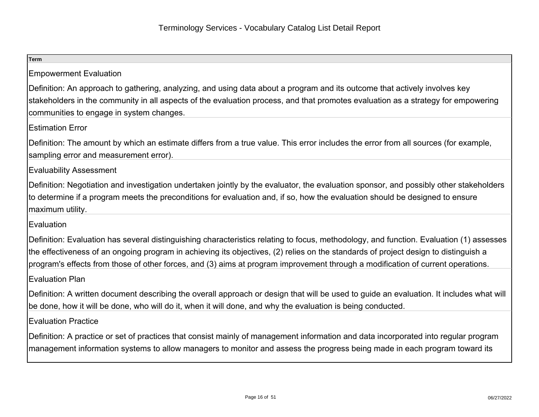| <b>Term</b>                                                                                                                                                                                                                                                                                                                                                                                                       |
|-------------------------------------------------------------------------------------------------------------------------------------------------------------------------------------------------------------------------------------------------------------------------------------------------------------------------------------------------------------------------------------------------------------------|
| <b>Empowerment Evaluation</b>                                                                                                                                                                                                                                                                                                                                                                                     |
| Definition: An approach to gathering, analyzing, and using data about a program and its outcome that actively involves key<br>stakeholders in the community in all aspects of the evaluation process, and that promotes evaluation as a strategy for empowering<br>communities to engage in system changes.                                                                                                       |
| <b>Estimation Error</b>                                                                                                                                                                                                                                                                                                                                                                                           |
| Definition: The amount by which an estimate differs from a true value. This error includes the error from all sources (for example,<br>sampling error and measurement error).                                                                                                                                                                                                                                     |
| <b>Evaluability Assessment</b>                                                                                                                                                                                                                                                                                                                                                                                    |
| Definition: Negotiation and investigation undertaken jointly by the evaluator, the evaluation sponsor, and possibly other stakeholders<br>to determine if a program meets the preconditions for evaluation and, if so, how the evaluation should be designed to ensure<br>maximum utility.                                                                                                                        |
| Evaluation                                                                                                                                                                                                                                                                                                                                                                                                        |
| Definition: Evaluation has several distinguishing characteristics relating to focus, methodology, and function. Evaluation (1) assesses<br>the effectiveness of an ongoing program in achieving its objectives, (2) relies on the standards of project design to distinguish a<br>program's effects from those of other forces, and (3) aims at program improvement through a modification of current operations. |
| <b>Evaluation Plan</b>                                                                                                                                                                                                                                                                                                                                                                                            |
| Definition: A written document describing the overall approach or design that will be used to guide an evaluation. It includes what will<br>be done, how it will be done, who will do it, when it will done, and why the evaluation is being conducted.                                                                                                                                                           |
| <b>Evaluation Practice</b>                                                                                                                                                                                                                                                                                                                                                                                        |
| Definition: A practice or set of practices that consist mainly of management information and data incorporated into regular program<br>management information systems to allow managers to monitor and assess the progress being made in each program toward its                                                                                                                                                  |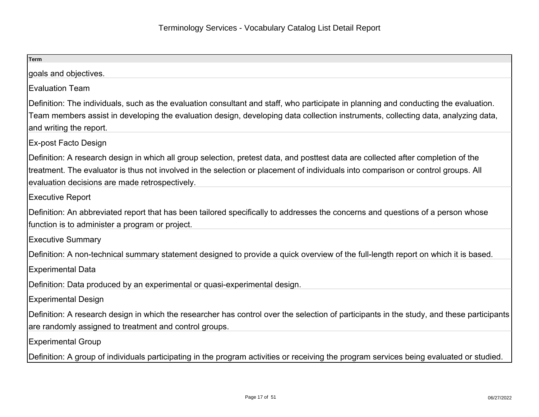| <b>Term</b>                                                                                                                                                                                                                                                                                                              |
|--------------------------------------------------------------------------------------------------------------------------------------------------------------------------------------------------------------------------------------------------------------------------------------------------------------------------|
| goals and objectives.                                                                                                                                                                                                                                                                                                    |
| <b>Evaluation Team</b>                                                                                                                                                                                                                                                                                                   |
| Definition: The individuals, such as the evaluation consultant and staff, who participate in planning and conducting the evaluation.<br>Team members assist in developing the evaluation design, developing data collection instruments, collecting data, analyzing data,<br>and writing the report.                     |
| Ex-post Facto Design                                                                                                                                                                                                                                                                                                     |
| Definition: A research design in which all group selection, pretest data, and posttest data are collected after completion of the<br>treatment. The evaluator is thus not involved in the selection or placement of individuals into comparison or control groups. All<br>evaluation decisions are made retrospectively. |
| <b>Executive Report</b>                                                                                                                                                                                                                                                                                                  |
| Definition: An abbreviated report that has been tailored specifically to addresses the concerns and questions of a person whose<br>function is to administer a program or project.                                                                                                                                       |
| <b>Executive Summary</b>                                                                                                                                                                                                                                                                                                 |
| Definition: A non-technical summary statement designed to provide a quick overview of the full-length report on which it is based.                                                                                                                                                                                       |
| <b>Experimental Data</b>                                                                                                                                                                                                                                                                                                 |
| Definition: Data produced by an experimental or quasi-experimental design.                                                                                                                                                                                                                                               |
| <b>Experimental Design</b>                                                                                                                                                                                                                                                                                               |
| Definition: A research design in which the researcher has control over the selection of participants in the study, and these participants<br>are randomly assigned to treatment and control groups.                                                                                                                      |
| <b>Experimental Group</b>                                                                                                                                                                                                                                                                                                |
| Definition: A group of individuals participating in the program activities or receiving the program services being evaluated or studied.                                                                                                                                                                                 |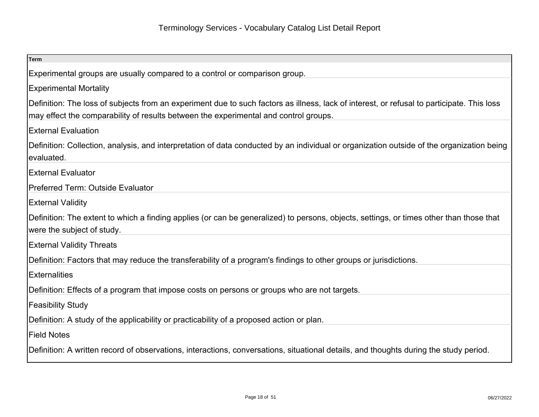| <b>Term</b>                                                                                                                                |
|--------------------------------------------------------------------------------------------------------------------------------------------|
|                                                                                                                                            |
| Experimental groups are usually compared to a control or comparison group.                                                                 |
| <b>Experimental Mortality</b>                                                                                                              |
| Definition: The loss of subjects from an experiment due to such factors as illness, lack of interest, or refusal to participate. This loss |
| may effect the comparability of results between the experimental and control groups.                                                       |
| <b>External Evaluation</b>                                                                                                                 |
| Definition: Collection, analysis, and interpretation of data conducted by an individual or organization outside of the organization being  |
| evaluated.                                                                                                                                 |
| <b>External Evaluator</b>                                                                                                                  |
| Preferred Term: Outside Evaluator                                                                                                          |
| <b>External Validity</b>                                                                                                                   |
| Definition: The extent to which a finding applies (or can be generalized) to persons, objects, settings, or times other than those that    |
| were the subject of study.                                                                                                                 |
| <b>External Validity Threats</b>                                                                                                           |
| Definition: Factors that may reduce the transferability of a program's findings to other groups or jurisdictions.                          |
| <b>Externalities</b>                                                                                                                       |
| Definition: Effects of a program that impose costs on persons or groups who are not targets.                                               |
| <b>Feasibility Study</b>                                                                                                                   |
| Definition: A study of the applicability or practicability of a proposed action or plan.                                                   |
| <b>Field Notes</b>                                                                                                                         |
| Definition: A written record of observations, interactions, conversations, situational details, and thoughts during the study period.      |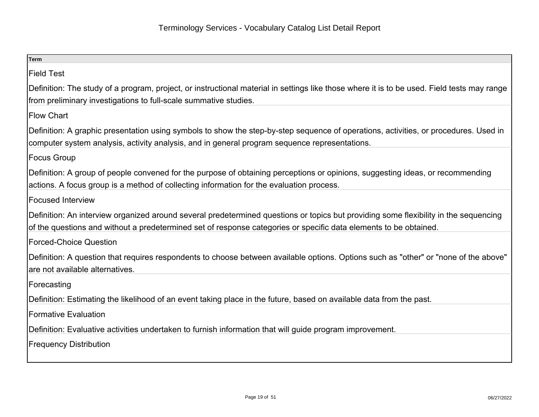| Term                                                                                                                                        |
|---------------------------------------------------------------------------------------------------------------------------------------------|
| <b>Field Test</b>                                                                                                                           |
| Definition: The study of a program, project, or instructional material in settings like those where it is to be used. Field tests may range |
| from preliminary investigations to full-scale summative studies.                                                                            |
| <b>Flow Chart</b>                                                                                                                           |
| Definition: A graphic presentation using symbols to show the step-by-step sequence of operations, activities, or procedures. Used in        |
| computer system analysis, activity analysis, and in general program sequence representations.                                               |
| Focus Group                                                                                                                                 |
| Definition: A group of people convened for the purpose of obtaining perceptions or opinions, suggesting ideas, or recommending              |
| actions. A focus group is a method of collecting information for the evaluation process.                                                    |
| Focused Interview                                                                                                                           |
| Definition: An interview organized around several predetermined questions or topics but providing some flexibility in the sequencing        |
| of the questions and without a predetermined set of response categories or specific data elements to be obtained.                           |
| Forced-Choice Question                                                                                                                      |
| Definition: A question that requires respondents to choose between available options. Options such as "other" or "none of the above"        |
| are not available alternatives.                                                                                                             |
| Forecasting                                                                                                                                 |
| Definition: Estimating the likelihood of an event taking place in the future, based on available data from the past.                        |
| Formative Evaluation                                                                                                                        |
| Definition: Evaluative activities undertaken to furnish information that will guide program improvement.                                    |
| <b>Frequency Distribution</b>                                                                                                               |
|                                                                                                                                             |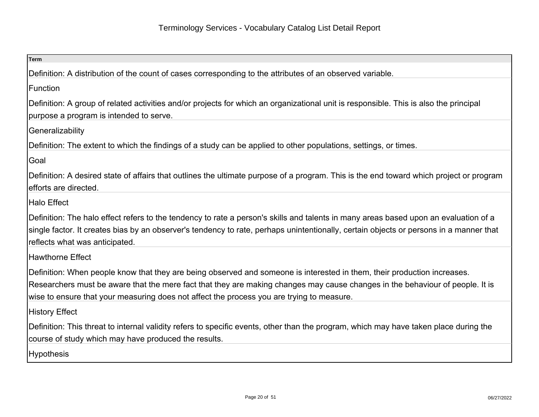| Term                                                                                                                                                                                                                                                                                                                                                   |
|--------------------------------------------------------------------------------------------------------------------------------------------------------------------------------------------------------------------------------------------------------------------------------------------------------------------------------------------------------|
| Definition: A distribution of the count of cases corresponding to the attributes of an observed variable.                                                                                                                                                                                                                                              |
| Function                                                                                                                                                                                                                                                                                                                                               |
| Definition: A group of related activities and/or projects for which an organizational unit is responsible. This is also the principal<br>purpose a program is intended to serve.                                                                                                                                                                       |
| Generalizability                                                                                                                                                                                                                                                                                                                                       |
| Definition: The extent to which the findings of a study can be applied to other populations, settings, or times.                                                                                                                                                                                                                                       |
| Goal                                                                                                                                                                                                                                                                                                                                                   |
| Definition: A desired state of affairs that outlines the ultimate purpose of a program. This is the end toward which project or program<br>efforts are directed.                                                                                                                                                                                       |
| Halo Effect                                                                                                                                                                                                                                                                                                                                            |
| Definition: The halo effect refers to the tendency to rate a person's skills and talents in many areas based upon an evaluation of a<br>single factor. It creates bias by an observer's tendency to rate, perhaps unintentionally, certain objects or persons in a manner that<br>reflects what was anticipated.                                       |
| Hawthorne Effect                                                                                                                                                                                                                                                                                                                                       |
| Definition: When people know that they are being observed and someone is interested in them, their production increases.<br>Researchers must be aware that the mere fact that they are making changes may cause changes in the behaviour of people. It is<br>wise to ensure that your measuring does not affect the process you are trying to measure. |
| History Effect                                                                                                                                                                                                                                                                                                                                         |
| Definition: This threat to internal validity refers to specific events, other than the program, which may have taken place during the<br>course of study which may have produced the results.                                                                                                                                                          |
| <b>Hypothesis</b>                                                                                                                                                                                                                                                                                                                                      |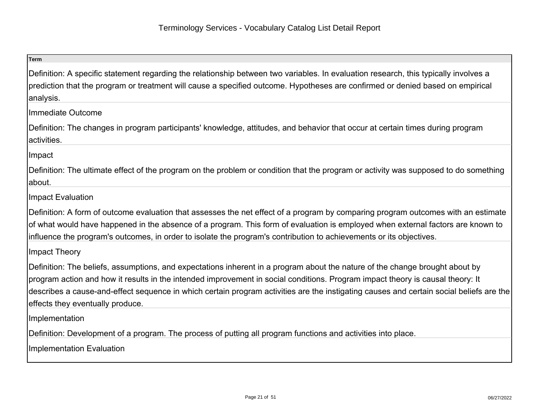| <b>Term</b>                                                                                                                                                                                                                                                                                                                                                                                                                                   |
|-----------------------------------------------------------------------------------------------------------------------------------------------------------------------------------------------------------------------------------------------------------------------------------------------------------------------------------------------------------------------------------------------------------------------------------------------|
| Definition: A specific statement regarding the relationship between two variables. In evaluation research, this typically involves a<br>prediction that the program or treatment will cause a specified outcome. Hypotheses are confirmed or denied based on empirical<br>analysis.                                                                                                                                                           |
| Immediate Outcome                                                                                                                                                                                                                                                                                                                                                                                                                             |
| Definition: The changes in program participants' knowledge, attitudes, and behavior that occur at certain times during program<br>activities.                                                                                                                                                                                                                                                                                                 |
| Impact                                                                                                                                                                                                                                                                                                                                                                                                                                        |
| Definition: The ultimate effect of the program on the problem or condition that the program or activity was supposed to do something<br>about.                                                                                                                                                                                                                                                                                                |
| <b>Impact Evaluation</b>                                                                                                                                                                                                                                                                                                                                                                                                                      |
| Definition: A form of outcome evaluation that assesses the net effect of a program by comparing program outcomes with an estimate<br>of what would have happened in the absence of a program. This form of evaluation is employed when external factors are known to<br>influence the program's outcomes, in order to isolate the program's contribution to achievements or its objectives.                                                   |
| Impact Theory                                                                                                                                                                                                                                                                                                                                                                                                                                 |
| Definition: The beliefs, assumptions, and expectations inherent in a program about the nature of the change brought about by<br>program action and how it results in the intended improvement in social conditions. Program impact theory is causal theory: It<br>describes a cause-and-effect sequence in which certain program activities are the instigating causes and certain social beliefs are the<br>effects they eventually produce. |
| Implementation                                                                                                                                                                                                                                                                                                                                                                                                                                |
| Definition: Development of a program. The process of putting all program functions and activities into place.<br>Implementation Evaluation                                                                                                                                                                                                                                                                                                    |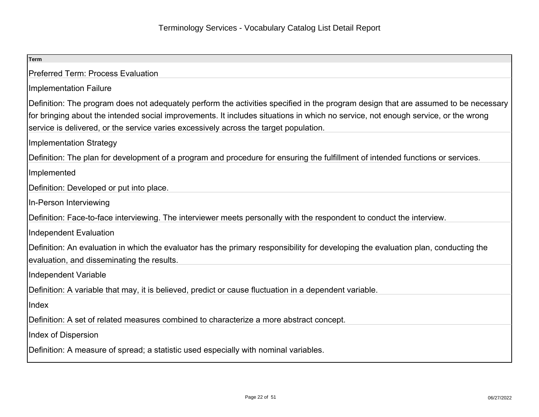| <b>Term</b>                                                                                                                                                                                                                                                                                                                                                       |
|-------------------------------------------------------------------------------------------------------------------------------------------------------------------------------------------------------------------------------------------------------------------------------------------------------------------------------------------------------------------|
| Preferred Term: Process Evaluation                                                                                                                                                                                                                                                                                                                                |
| Implementation Failure                                                                                                                                                                                                                                                                                                                                            |
| Definition: The program does not adequately perform the activities specified in the program design that are assumed to be necessary<br>for bringing about the intended social improvements. It includes situations in which no service, not enough service, or the wrong<br>service is delivered, or the service varies excessively across the target population. |
| Implementation Strategy                                                                                                                                                                                                                                                                                                                                           |
| Definition: The plan for development of a program and procedure for ensuring the fulfillment of intended functions or services.                                                                                                                                                                                                                                   |
| Implemented                                                                                                                                                                                                                                                                                                                                                       |
| Definition: Developed or put into place.                                                                                                                                                                                                                                                                                                                          |
| In-Person Interviewing                                                                                                                                                                                                                                                                                                                                            |
| Definition: Face-to-face interviewing. The interviewer meets personally with the respondent to conduct the interview.                                                                                                                                                                                                                                             |
| Independent Evaluation                                                                                                                                                                                                                                                                                                                                            |
| Definition: An evaluation in which the evaluator has the primary responsibility for developing the evaluation plan, conducting the<br>evaluation, and disseminating the results.                                                                                                                                                                                  |
| Independent Variable                                                                                                                                                                                                                                                                                                                                              |
| Definition: A variable that may, it is believed, predict or cause fluctuation in a dependent variable.                                                                                                                                                                                                                                                            |
| Index                                                                                                                                                                                                                                                                                                                                                             |
| Definition: A set of related measures combined to characterize a more abstract concept.                                                                                                                                                                                                                                                                           |
| Index of Dispersion                                                                                                                                                                                                                                                                                                                                               |
| Definition: A measure of spread; a statistic used especially with nominal variables.                                                                                                                                                                                                                                                                              |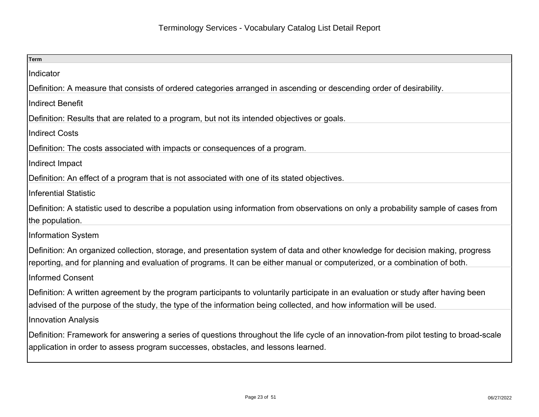| <b>Term</b>                                                                                                                                                                                                                                                   |
|---------------------------------------------------------------------------------------------------------------------------------------------------------------------------------------------------------------------------------------------------------------|
| Indicator                                                                                                                                                                                                                                                     |
| Definition: A measure that consists of ordered categories arranged in ascending or descending order of desirability.                                                                                                                                          |
| <b>Indirect Benefit</b>                                                                                                                                                                                                                                       |
| Definition: Results that are related to a program, but not its intended objectives or goals.                                                                                                                                                                  |
| <b>Indirect Costs</b>                                                                                                                                                                                                                                         |
| Definition: The costs associated with impacts or consequences of a program.                                                                                                                                                                                   |
| Indirect Impact                                                                                                                                                                                                                                               |
| Definition: An effect of a program that is not associated with one of its stated objectives.                                                                                                                                                                  |
| <b>Inferential Statistic</b>                                                                                                                                                                                                                                  |
| Definition: A statistic used to describe a population using information from observations on only a probability sample of cases from<br>the population.                                                                                                       |
| <b>Information System</b>                                                                                                                                                                                                                                     |
| Definition: An organized collection, storage, and presentation system of data and other knowledge for decision making, progress<br>reporting, and for planning and evaluation of programs. It can be either manual or computerized, or a combination of both. |
| <b>Informed Consent</b>                                                                                                                                                                                                                                       |
| Definition: A written agreement by the program participants to voluntarily participate in an evaluation or study after having been<br>advised of the purpose of the study, the type of the information being collected, and how information will be used.     |
| <b>Innovation Analysis</b>                                                                                                                                                                                                                                    |
| Definition: Framework for answering a series of questions throughout the life cycle of an innovation-from pilot testing to broad-scale<br>application in order to assess program successes, obstacles, and lessons learned.                                   |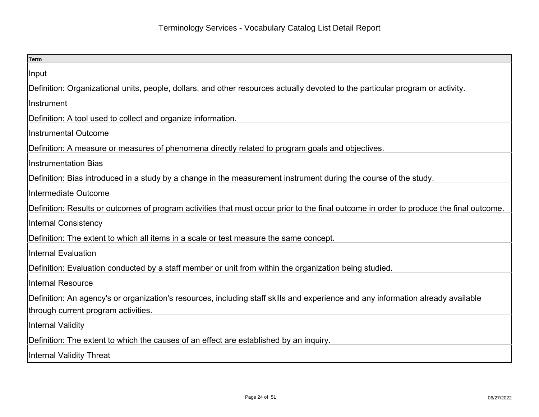| <b>Term</b>                                                                                                                             |
|-----------------------------------------------------------------------------------------------------------------------------------------|
| Input                                                                                                                                   |
| Definition: Organizational units, people, dollars, and other resources actually devoted to the particular program or activity.          |
| Instrument                                                                                                                              |
| Definition: A tool used to collect and organize information.                                                                            |
| <b>Instrumental Outcome</b>                                                                                                             |
| Definition: A measure or measures of phenomena directly related to program goals and objectives.                                        |
| Instrumentation Bias                                                                                                                    |
| Definition: Bias introduced in a study by a change in the measurement instrument during the course of the study.                        |
| Intermediate Outcome                                                                                                                    |
| Definition: Results or outcomes of program activities that must occur prior to the final outcome in order to produce the final outcome. |
| <b>Internal Consistency</b>                                                                                                             |
| Definition: The extent to which all items in a scale or test measure the same concept.                                                  |
| Internal Evaluation                                                                                                                     |
| Definition: Evaluation conducted by a staff member or unit from within the organization being studied.                                  |
| Internal Resource                                                                                                                       |
| Definition: An agency's or organization's resources, including staff skills and experience and any information already available        |
| through current program activities.                                                                                                     |
| Internal Validity                                                                                                                       |
| Definition: The extent to which the causes of an effect are established by an inquiry.                                                  |
| Internal Validity Threat                                                                                                                |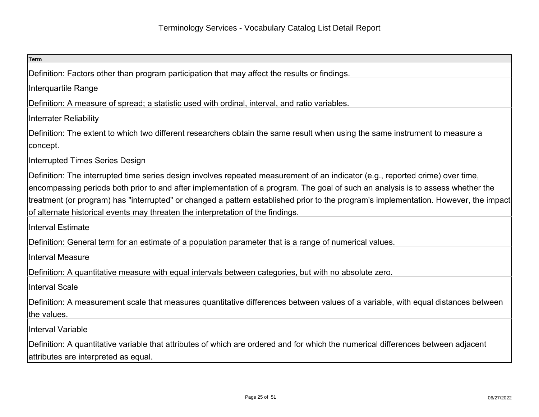| Term                                                                                                                                                                                                                                                                                                                                                                                                                                                                                         |
|----------------------------------------------------------------------------------------------------------------------------------------------------------------------------------------------------------------------------------------------------------------------------------------------------------------------------------------------------------------------------------------------------------------------------------------------------------------------------------------------|
| Definition: Factors other than program participation that may affect the results or findings.                                                                                                                                                                                                                                                                                                                                                                                                |
| Interquartile Range                                                                                                                                                                                                                                                                                                                                                                                                                                                                          |
| Definition: A measure of spread; a statistic used with ordinal, interval, and ratio variables.                                                                                                                                                                                                                                                                                                                                                                                               |
| <b>Interrater Reliability</b>                                                                                                                                                                                                                                                                                                                                                                                                                                                                |
| Definition: The extent to which two different researchers obtain the same result when using the same instrument to measure a<br> concept.                                                                                                                                                                                                                                                                                                                                                    |
| Interrupted Times Series Design                                                                                                                                                                                                                                                                                                                                                                                                                                                              |
| Definition: The interrupted time series design involves repeated measurement of an indicator (e.g., reported crime) over time,<br>encompassing periods both prior to and after implementation of a program. The goal of such an analysis is to assess whether the<br>treatment (or program) has "interrupted" or changed a pattern established prior to the program's implementation. However, the impact<br>of alternate historical events may threaten the interpretation of the findings. |
| <b>Interval Estimate</b>                                                                                                                                                                                                                                                                                                                                                                                                                                                                     |
| Definition: General term for an estimate of a population parameter that is a range of numerical values.                                                                                                                                                                                                                                                                                                                                                                                      |
| Interval Measure                                                                                                                                                                                                                                                                                                                                                                                                                                                                             |
| Definition: A quantitative measure with equal intervals between categories, but with no absolute zero.                                                                                                                                                                                                                                                                                                                                                                                       |
| Interval Scale                                                                                                                                                                                                                                                                                                                                                                                                                                                                               |
| Definition: A measurement scale that measures quantitative differences between values of a variable, with equal distances between<br>the values.                                                                                                                                                                                                                                                                                                                                             |
| <b>Interval Variable</b>                                                                                                                                                                                                                                                                                                                                                                                                                                                                     |
| Definition: A quantitative variable that attributes of which are ordered and for which the numerical differences between adjacent<br>attributes are interpreted as equal.                                                                                                                                                                                                                                                                                                                    |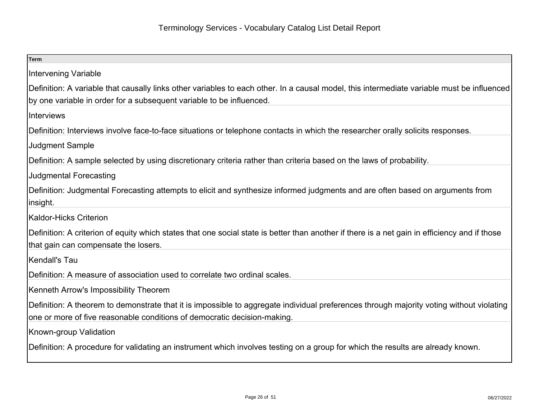| Term                                                                                                                                          |
|-----------------------------------------------------------------------------------------------------------------------------------------------|
| <b>Intervening Variable</b>                                                                                                                   |
| Definition: A variable that causally links other variables to each other. In a causal model, this intermediate variable must be influenced    |
| by one variable in order for a subsequent variable to be influenced.                                                                          |
| Interviews                                                                                                                                    |
| Definition: Interviews involve face-to-face situations or telephone contacts in which the researcher orally solicits responses.               |
| Judgment Sample                                                                                                                               |
| Definition: A sample selected by using discretionary criteria rather than criteria based on the laws of probability.                          |
| <b>Judgmental Forecasting</b>                                                                                                                 |
| Definition: Judgmental Forecasting attempts to elicit and synthesize informed judgments and are often based on arguments from                 |
| linsight.                                                                                                                                     |
| Kaldor-Hicks Criterion                                                                                                                        |
| Definition: A criterion of equity which states that one social state is better than another if there is a net gain in efficiency and if those |
| that gain can compensate the losers.                                                                                                          |
| Kendall's Tau                                                                                                                                 |
| Definition: A measure of association used to correlate two ordinal scales.                                                                    |
| Kenneth Arrow's Impossibility Theorem                                                                                                         |
| Definition: A theorem to demonstrate that it is impossible to aggregate individual preferences through majority voting without violating      |
| one or more of five reasonable conditions of democratic decision-making.                                                                      |
| Known-group Validation                                                                                                                        |
| Definition: A procedure for validating an instrument which involves testing on a group for which the results are already known.               |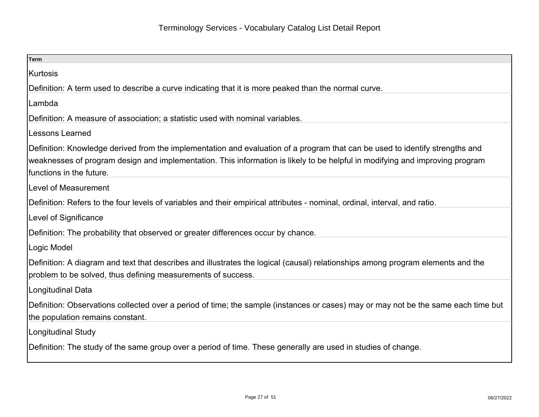| <b>Term</b>                                                                                                                                                                                     |
|-------------------------------------------------------------------------------------------------------------------------------------------------------------------------------------------------|
| Kurtosis                                                                                                                                                                                        |
| Definition: A term used to describe a curve indicating that it is more peaked than the normal curve.                                                                                            |
| Lambda                                                                                                                                                                                          |
| Definition: A measure of association; a statistic used with nominal variables.                                                                                                                  |
| <b>Lessons Learned</b>                                                                                                                                                                          |
| Definition: Knowledge derived from the implementation and evaluation of a program that can be used to identify strengths and                                                                    |
| weaknesses of program design and implementation. This information is likely to be helpful in modifying and improving program<br>functions in the future.                                        |
| Level of Measurement                                                                                                                                                                            |
| Definition: Refers to the four levels of variables and their empirical attributes - nominal, ordinal, interval, and ratio.                                                                      |
| Level of Significance                                                                                                                                                                           |
| Definition: The probability that observed or greater differences occur by chance.                                                                                                               |
| Logic Model                                                                                                                                                                                     |
| Definition: A diagram and text that describes and illustrates the logical (causal) relationships among program elements and the<br>problem to be solved, thus defining measurements of success. |
| Longitudinal Data                                                                                                                                                                               |
| Definition: Observations collected over a period of time; the sample (instances or cases) may or may not be the same each time but<br>the population remains constant.                          |
| Longitudinal Study                                                                                                                                                                              |
| Definition: The study of the same group over a period of time. These generally are used in studies of change.                                                                                   |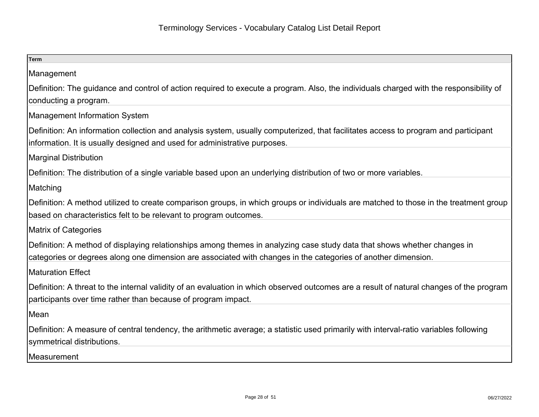| <b>Term</b>                                                                                                                              |
|------------------------------------------------------------------------------------------------------------------------------------------|
| Management                                                                                                                               |
| Definition: The guidance and control of action required to execute a program. Also, the individuals charged with the responsibility of   |
| conducting a program.                                                                                                                    |
| <b>Management Information System</b>                                                                                                     |
| Definition: An information collection and analysis system, usually computerized, that facilitates access to program and participant      |
| information. It is usually designed and used for administrative purposes.                                                                |
| <b>Marginal Distribution</b>                                                                                                             |
| Definition: The distribution of a single variable based upon an underlying distribution of two or more variables.                        |
| Matching                                                                                                                                 |
| Definition: A method utilized to create comparison groups, in which groups or individuals are matched to those in the treatment group    |
| based on characteristics felt to be relevant to program outcomes.                                                                        |
| <b>Matrix of Categories</b>                                                                                                              |
| Definition: A method of displaying relationships among themes in analyzing case study data that shows whether changes in                 |
| categories or degrees along one dimension are associated with changes in the categories of another dimension.                            |
| <b>IMaturation Effect</b>                                                                                                                |
| Definition: A threat to the internal validity of an evaluation in which observed outcomes are a result of natural changes of the program |
| participants over time rather than because of program impact.                                                                            |
| Mean                                                                                                                                     |
| Definition: A measure of central tendency, the arithmetic average; a statistic used primarily with interval-ratio variables following    |
| symmetrical distributions.                                                                                                               |
| Measurement                                                                                                                              |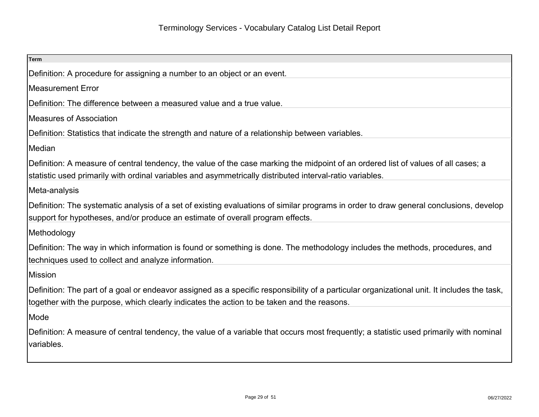| Term                                                                                                                                                                                                                                      |
|-------------------------------------------------------------------------------------------------------------------------------------------------------------------------------------------------------------------------------------------|
| Definition: A procedure for assigning a number to an object or an event.                                                                                                                                                                  |
| Measurement Error                                                                                                                                                                                                                         |
| Definition: The difference between a measured value and a true value.                                                                                                                                                                     |
| Measures of Association                                                                                                                                                                                                                   |
| Definition: Statistics that indicate the strength and nature of a relationship between variables.                                                                                                                                         |
| Median                                                                                                                                                                                                                                    |
| Definition: A measure of central tendency, the value of the case marking the midpoint of an ordered list of values of all cases; a                                                                                                        |
| statistic used primarily with ordinal variables and asymmetrically distributed interval-ratio variables.                                                                                                                                  |
| Meta-analysis                                                                                                                                                                                                                             |
| Definition: The systematic analysis of a set of existing evaluations of similar programs in order to draw general conclusions, develop<br>support for hypotheses, and/or produce an estimate of overall program effects.                  |
| Methodology                                                                                                                                                                                                                               |
| Definition: The way in which information is found or something is done. The methodology includes the methods, procedures, and<br>techniques used to collect and analyze information.                                                      |
| Mission                                                                                                                                                                                                                                   |
| Definition: The part of a goal or endeavor assigned as a specific responsibility of a particular organizational unit. It includes the task,<br>together with the purpose, which clearly indicates the action to be taken and the reasons. |
| Mode                                                                                                                                                                                                                                      |
| Definition: A measure of central tendency, the value of a variable that occurs most frequently; a statistic used primarily with nominal<br>variables.                                                                                     |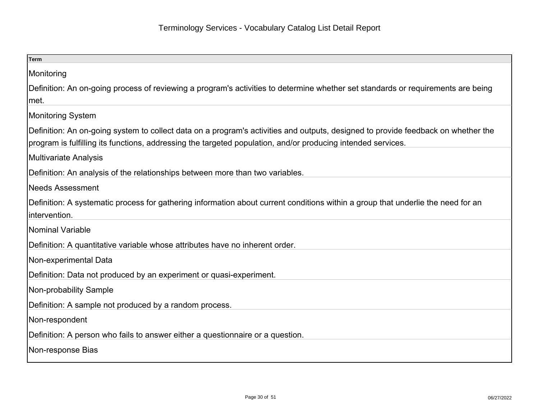| <b>Term</b>                                                                                                                       |
|-----------------------------------------------------------------------------------------------------------------------------------|
| Monitoring                                                                                                                        |
| Definition: An on-going process of reviewing a program's activities to determine whether set standards or requirements are being  |
| met.                                                                                                                              |
| <b>Monitoring System</b>                                                                                                          |
| Definition: An on-going system to collect data on a program's activities and outputs, designed to provide feedback on whether the |
| program is fulfilling its functions, addressing the targeted population, and/or producing intended services.                      |
| Multivariate Analysis                                                                                                             |
| Definition: An analysis of the relationships between more than two variables.                                                     |
| Needs Assessment                                                                                                                  |
| Definition: A systematic process for gathering information about current conditions within a group that underlie the need for an  |
| intervention.                                                                                                                     |
| Nominal Variable                                                                                                                  |
| Definition: A quantitative variable whose attributes have no inherent order.                                                      |
| Non-experimental Data                                                                                                             |
| Definition: Data not produced by an experiment or quasi-experiment.                                                               |
| Non-probability Sample                                                                                                            |
| Definition: A sample not produced by a random process.                                                                            |
| Non-respondent                                                                                                                    |
| Definition: A person who fails to answer either a questionnaire or a question.                                                    |
| Non-response Bias                                                                                                                 |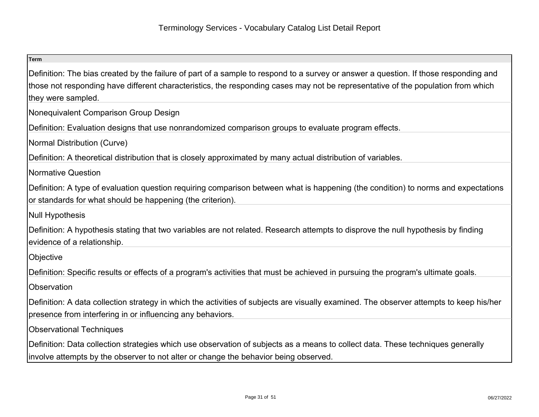| <b>Term</b>                                                                                                                                                                                                                                                                                    |
|------------------------------------------------------------------------------------------------------------------------------------------------------------------------------------------------------------------------------------------------------------------------------------------------|
| Definition: The bias created by the failure of part of a sample to respond to a survey or answer a question. If those responding and<br>those not responding have different characteristics, the responding cases may not be representative of the population from which<br>they were sampled. |
| Nonequivalent Comparison Group Design                                                                                                                                                                                                                                                          |
| Definition: Evaluation designs that use nonrandomized comparison groups to evaluate program effects.                                                                                                                                                                                           |
| Normal Distribution (Curve)                                                                                                                                                                                                                                                                    |
| Definition: A theoretical distribution that is closely approximated by many actual distribution of variables.                                                                                                                                                                                  |
| Normative Question                                                                                                                                                                                                                                                                             |
| Definition: A type of evaluation question requiring comparison between what is happening (the condition) to norms and expectations<br>or standards for what should be happening (the criterion).                                                                                               |
| <b>Null Hypothesis</b>                                                                                                                                                                                                                                                                         |
| Definition: A hypothesis stating that two variables are not related. Research attempts to disprove the null hypothesis by finding<br>evidence of a relationship.                                                                                                                               |
| Objective                                                                                                                                                                                                                                                                                      |
| Definition: Specific results or effects of a program's activities that must be achieved in pursuing the program's ultimate goals.                                                                                                                                                              |
| Observation                                                                                                                                                                                                                                                                                    |
| Definition: A data collection strategy in which the activities of subjects are visually examined. The observer attempts to keep his/her<br>presence from interfering in or influencing any behaviors.                                                                                          |
| <b>Observational Techniques</b>                                                                                                                                                                                                                                                                |
| Definition: Data collection strategies which use observation of subjects as a means to collect data. These techniques generally<br>involve attempts by the observer to not alter or change the behavior being observed.                                                                        |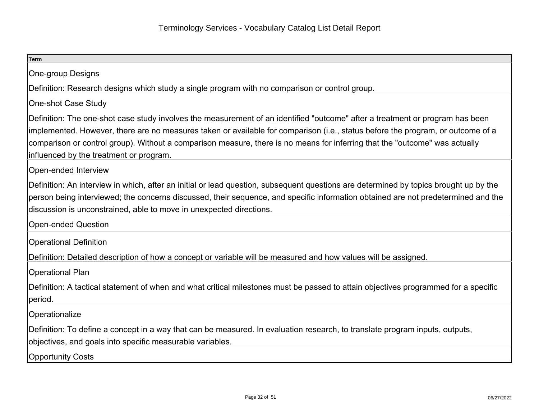| <b>Term</b>                                                                                                                                                                                                                                                                                                                                                                                                                                |
|--------------------------------------------------------------------------------------------------------------------------------------------------------------------------------------------------------------------------------------------------------------------------------------------------------------------------------------------------------------------------------------------------------------------------------------------|
| <b>One-group Designs</b>                                                                                                                                                                                                                                                                                                                                                                                                                   |
| Definition: Research designs which study a single program with no comparison or control group.                                                                                                                                                                                                                                                                                                                                             |
| <b>One-shot Case Study</b>                                                                                                                                                                                                                                                                                                                                                                                                                 |
| Definition: The one-shot case study involves the measurement of an identified "outcome" after a treatment or program has been<br>implemented. However, there are no measures taken or available for comparison (i.e., status before the program, or outcome of a<br>comparison or control group). Without a comparison measure, there is no means for inferring that the "outcome" was actually<br>influenced by the treatment or program. |
| Open-ended Interview                                                                                                                                                                                                                                                                                                                                                                                                                       |
| Definition: An interview in which, after an initial or lead question, subsequent questions are determined by topics brought up by the<br>person being interviewed; the concerns discussed, their sequence, and specific information obtained are not predetermined and the<br>discussion is unconstrained, able to move in unexpected directions.                                                                                          |
| <b>Open-ended Question</b>                                                                                                                                                                                                                                                                                                                                                                                                                 |
| <b>Operational Definition</b>                                                                                                                                                                                                                                                                                                                                                                                                              |
| Definition: Detailed description of how a concept or variable will be measured and how values will be assigned.                                                                                                                                                                                                                                                                                                                            |
| <b>Operational Plan</b>                                                                                                                                                                                                                                                                                                                                                                                                                    |
| Definition: A tactical statement of when and what critical milestones must be passed to attain objectives programmed for a specific<br>period.                                                                                                                                                                                                                                                                                             |
| Operationalize                                                                                                                                                                                                                                                                                                                                                                                                                             |
| Definition: To define a concept in a way that can be measured. In evaluation research, to translate program inputs, outputs,<br>objectives, and goals into specific measurable variables.                                                                                                                                                                                                                                                  |
| Opportunity Costs                                                                                                                                                                                                                                                                                                                                                                                                                          |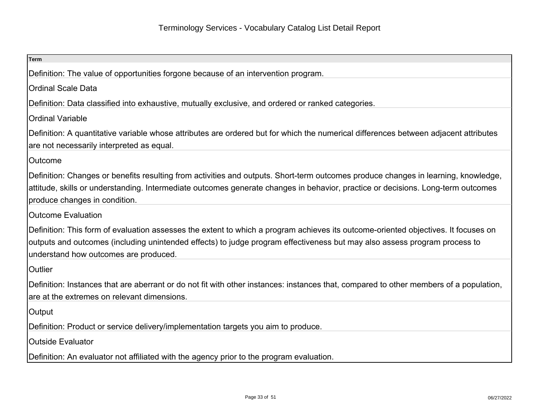| Term                                                                                                                                                                                                                                                                                                     |
|----------------------------------------------------------------------------------------------------------------------------------------------------------------------------------------------------------------------------------------------------------------------------------------------------------|
| Definition: The value of opportunities forgone because of an intervention program.                                                                                                                                                                                                                       |
| <b>Ordinal Scale Data</b>                                                                                                                                                                                                                                                                                |
| Definition: Data classified into exhaustive, mutually exclusive, and ordered or ranked categories.                                                                                                                                                                                                       |
| <b>Ordinal Variable</b>                                                                                                                                                                                                                                                                                  |
| Definition: A quantitative variable whose attributes are ordered but for which the numerical differences between adjacent attributes<br>are not necessarily interpreted as equal.                                                                                                                        |
| <b>Outcome</b>                                                                                                                                                                                                                                                                                           |
| Definition: Changes or benefits resulting from activities and outputs. Short-term outcomes produce changes in learning, knowledge,<br>attitude, skills or understanding. Intermediate outcomes generate changes in behavior, practice or decisions. Long-term outcomes<br>produce changes in condition.  |
| <b>Outcome Evaluation</b>                                                                                                                                                                                                                                                                                |
| Definition: This form of evaluation assesses the extent to which a program achieves its outcome-oriented objectives. It focuses on<br>outputs and outcomes (including unintended effects) to judge program effectiveness but may also assess program process to<br>understand how outcomes are produced. |
| Outlier                                                                                                                                                                                                                                                                                                  |
| Definition: Instances that are aberrant or do not fit with other instances: instances that, compared to other members of a population,<br>are at the extremes on relevant dimensions.                                                                                                                    |
| Output                                                                                                                                                                                                                                                                                                   |
| Definition: Product or service delivery/implementation targets you aim to produce.                                                                                                                                                                                                                       |
| <b>Outside Evaluator</b>                                                                                                                                                                                                                                                                                 |
| Definition: An evaluator not affiliated with the agency prior to the program evaluation.                                                                                                                                                                                                                 |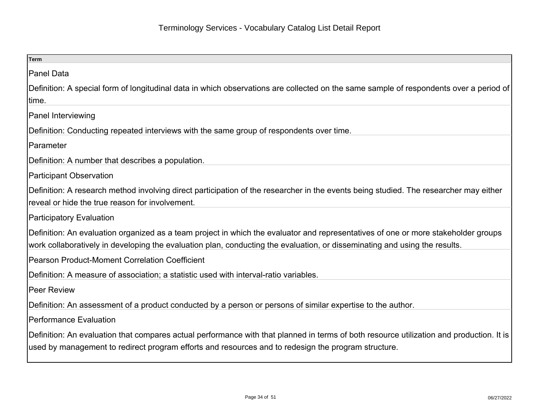| <b>Term</b>                                                                                                                                                                                                                                                      |
|------------------------------------------------------------------------------------------------------------------------------------------------------------------------------------------------------------------------------------------------------------------|
| Panel Data                                                                                                                                                                                                                                                       |
| Definition: A special form of longitudinal data in which observations are collected on the same sample of respondents over a period of<br>∣time.                                                                                                                 |
| <b>Panel Interviewing</b>                                                                                                                                                                                                                                        |
| Definition: Conducting repeated interviews with the same group of respondents over time.                                                                                                                                                                         |
| Parameter                                                                                                                                                                                                                                                        |
| Definition: A number that describes a population.                                                                                                                                                                                                                |
| <b>Participant Observation</b>                                                                                                                                                                                                                                   |
| Definition: A research method involving direct participation of the researcher in the events being studied. The researcher may either<br>reveal or hide the true reason for involvement.                                                                         |
| <b>Participatory Evaluation</b>                                                                                                                                                                                                                                  |
| Definition: An evaluation organized as a team project in which the evaluator and representatives of one or more stakeholder groups<br>work collaboratively in developing the evaluation plan, conducting the evaluation, or disseminating and using the results. |
| Pearson Product-Moment Correlation Coefficient                                                                                                                                                                                                                   |
| Definition: A measure of association; a statistic used with interval-ratio variables.                                                                                                                                                                            |
| Peer Review                                                                                                                                                                                                                                                      |
| Definition: An assessment of a product conducted by a person or persons of similar expertise to the author.                                                                                                                                                      |
| Performance Evaluation                                                                                                                                                                                                                                           |
| Definition: An evaluation that compares actual performance with that planned in terms of both resource utilization and production. It is<br>used by management to redirect program efforts and resources and to redesign the program structure.                  |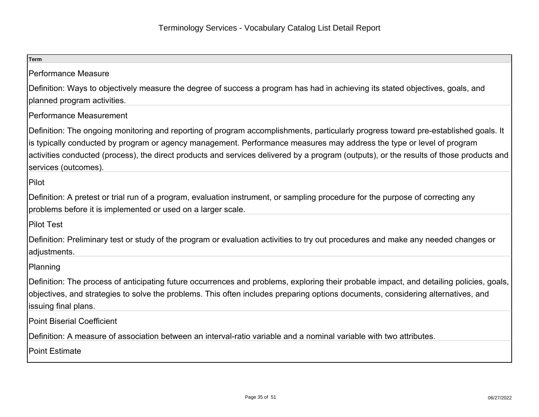| <b>Term</b>                                                                                                                                                                                                                                                                                                                                                                                                                     |
|---------------------------------------------------------------------------------------------------------------------------------------------------------------------------------------------------------------------------------------------------------------------------------------------------------------------------------------------------------------------------------------------------------------------------------|
| <b>Performance Measure</b>                                                                                                                                                                                                                                                                                                                                                                                                      |
| Definition: Ways to objectively measure the degree of success a program has had in achieving its stated objectives, goals, and<br>planned program activities.                                                                                                                                                                                                                                                                   |
| Performance Measurement                                                                                                                                                                                                                                                                                                                                                                                                         |
| Definition: The ongoing monitoring and reporting of program accomplishments, particularly progress toward pre-established goals. It<br>is typically conducted by program or agency management. Performance measures may address the type or level of program<br>activities conducted (process), the direct products and services delivered by a program (outputs), or the results of those products and<br>services (outcomes). |
| Pilot                                                                                                                                                                                                                                                                                                                                                                                                                           |
| Definition: A pretest or trial run of a program, evaluation instrument, or sampling procedure for the purpose of correcting any<br>problems before it is implemented or used on a larger scale.                                                                                                                                                                                                                                 |
| Pilot Test                                                                                                                                                                                                                                                                                                                                                                                                                      |
| Definition: Preliminary test or study of the program or evaluation activities to try out procedures and make any needed changes or<br>adjustments.                                                                                                                                                                                                                                                                              |
| Planning                                                                                                                                                                                                                                                                                                                                                                                                                        |
| Definition: The process of anticipating future occurrences and problems, exploring their probable impact, and detailing policies, goals,<br>objectives, and strategies to solve the problems. This often includes preparing options documents, considering alternatives, and<br>issuing final plans.                                                                                                                            |
| Point Biserial Coefficient                                                                                                                                                                                                                                                                                                                                                                                                      |
| Definition: A measure of association between an interval-ratio variable and a nominal variable with two attributes.                                                                                                                                                                                                                                                                                                             |
| <b>Point Estimate</b>                                                                                                                                                                                                                                                                                                                                                                                                           |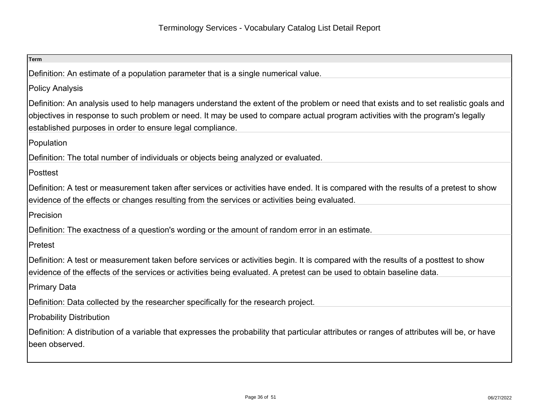| <b>Term</b>                                                                                                                                                                                                                                                                                                                          |
|--------------------------------------------------------------------------------------------------------------------------------------------------------------------------------------------------------------------------------------------------------------------------------------------------------------------------------------|
| Definition: An estimate of a population parameter that is a single numerical value.                                                                                                                                                                                                                                                  |
| <b>Policy Analysis</b>                                                                                                                                                                                                                                                                                                               |
| Definition: An analysis used to help managers understand the extent of the problem or need that exists and to set realistic goals and<br>objectives in response to such problem or need. It may be used to compare actual program activities with the program's legally<br>established purposes in order to ensure legal compliance. |
| Population                                                                                                                                                                                                                                                                                                                           |
| Definition: The total number of individuals or objects being analyzed or evaluated.                                                                                                                                                                                                                                                  |
| Posttest                                                                                                                                                                                                                                                                                                                             |
| Definition: A test or measurement taken after services or activities have ended. It is compared with the results of a pretest to show<br>evidence of the effects or changes resulting from the services or activities being evaluated.                                                                                               |
| Precision                                                                                                                                                                                                                                                                                                                            |
| Definition: The exactness of a question's wording or the amount of random error in an estimate.                                                                                                                                                                                                                                      |
| Pretest                                                                                                                                                                                                                                                                                                                              |
| Definition: A test or measurement taken before services or activities begin. It is compared with the results of a posttest to show                                                                                                                                                                                                   |
| evidence of the effects of the services or activities being evaluated. A pretest can be used to obtain baseline data.                                                                                                                                                                                                                |
| Primary Data                                                                                                                                                                                                                                                                                                                         |
| Definition: Data collected by the researcher specifically for the research project.                                                                                                                                                                                                                                                  |
| <b>Probability Distribution</b>                                                                                                                                                                                                                                                                                                      |
| Definition: A distribution of a variable that expresses the probability that particular attributes or ranges of attributes will be, or have<br>been observed.                                                                                                                                                                        |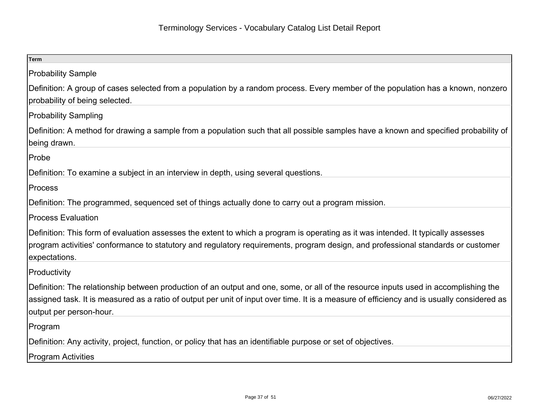| <b>Term</b>                                                                                                                                                                                                                                                                                                  |
|--------------------------------------------------------------------------------------------------------------------------------------------------------------------------------------------------------------------------------------------------------------------------------------------------------------|
| <b>Probability Sample</b>                                                                                                                                                                                                                                                                                    |
| Definition: A group of cases selected from a population by a random process. Every member of the population has a known, nonzero<br>probability of being selected.                                                                                                                                           |
| <b>Probability Sampling</b>                                                                                                                                                                                                                                                                                  |
| Definition: A method for drawing a sample from a population such that all possible samples have a known and specified probability of<br>being drawn.                                                                                                                                                         |
| Probe                                                                                                                                                                                                                                                                                                        |
| Definition: To examine a subject in an interview in depth, using several questions.                                                                                                                                                                                                                          |
| <b>Process</b>                                                                                                                                                                                                                                                                                               |
| Definition: The programmed, sequenced set of things actually done to carry out a program mission.                                                                                                                                                                                                            |
| <b>Process Evaluation</b>                                                                                                                                                                                                                                                                                    |
| Definition: This form of evaluation assesses the extent to which a program is operating as it was intended. It typically assesses<br>program activities' conformance to statutory and regulatory requirements, program design, and professional standards or customer<br>expectations.                       |
| Productivity                                                                                                                                                                                                                                                                                                 |
| Definition: The relationship between production of an output and one, some, or all of the resource inputs used in accomplishing the<br>assigned task. It is measured as a ratio of output per unit of input over time. It is a measure of efficiency and is usually considered as<br>output per person-hour. |
| Program                                                                                                                                                                                                                                                                                                      |
| Definition: Any activity, project, function, or policy that has an identifiable purpose or set of objectives.                                                                                                                                                                                                |
| <b>Program Activities</b>                                                                                                                                                                                                                                                                                    |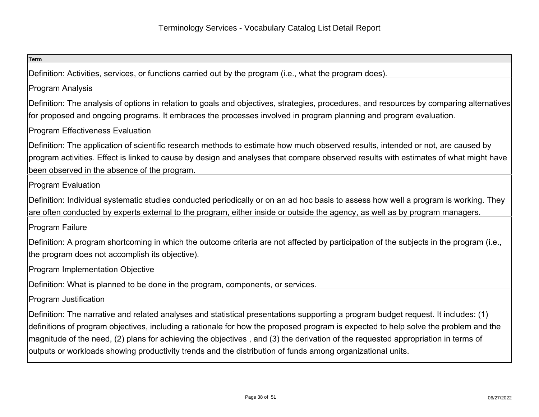| <b>Term</b>                                                                                                                                                                                                                                                                                                                                                                                                                                                                                                                 |
|-----------------------------------------------------------------------------------------------------------------------------------------------------------------------------------------------------------------------------------------------------------------------------------------------------------------------------------------------------------------------------------------------------------------------------------------------------------------------------------------------------------------------------|
| Definition: Activities, services, or functions carried out by the program (i.e., what the program does).                                                                                                                                                                                                                                                                                                                                                                                                                    |
| <b>Program Analysis</b>                                                                                                                                                                                                                                                                                                                                                                                                                                                                                                     |
| Definition: The analysis of options in relation to goals and objectives, strategies, procedures, and resources by comparing alternatives<br>for proposed and ongoing programs. It embraces the processes involved in program planning and program evaluation.                                                                                                                                                                                                                                                               |
| <b>Program Effectiveness Evaluation</b>                                                                                                                                                                                                                                                                                                                                                                                                                                                                                     |
| Definition: The application of scientific research methods to estimate how much observed results, intended or not, are caused by<br>program activities. Effect is linked to cause by design and analyses that compare observed results with estimates of what might have<br>been observed in the absence of the program.                                                                                                                                                                                                    |
| <b>Program Evaluation</b>                                                                                                                                                                                                                                                                                                                                                                                                                                                                                                   |
| Definition: Individual systematic studies conducted periodically or on an ad hoc basis to assess how well a program is working. They<br>are often conducted by experts external to the program, either inside or outside the agency, as well as by program managers.                                                                                                                                                                                                                                                        |
| Program Failure                                                                                                                                                                                                                                                                                                                                                                                                                                                                                                             |
| Definition: A program shortcoming in which the outcome criteria are not affected by participation of the subjects in the program (i.e.,<br>the program does not accomplish its objective).                                                                                                                                                                                                                                                                                                                                  |
| <b>Program Implementation Objective</b>                                                                                                                                                                                                                                                                                                                                                                                                                                                                                     |
| Definition: What is planned to be done in the program, components, or services.                                                                                                                                                                                                                                                                                                                                                                                                                                             |
| <b>Program Justification</b>                                                                                                                                                                                                                                                                                                                                                                                                                                                                                                |
| Definition: The narrative and related analyses and statistical presentations supporting a program budget request. It includes: (1)<br>definitions of program objectives, including a rationale for how the proposed program is expected to help solve the problem and the<br>magnitude of the need, (2) plans for achieving the objectives, and (3) the derivation of the requested appropriation in terms of<br>outputs or workloads showing productivity trends and the distribution of funds among organizational units. |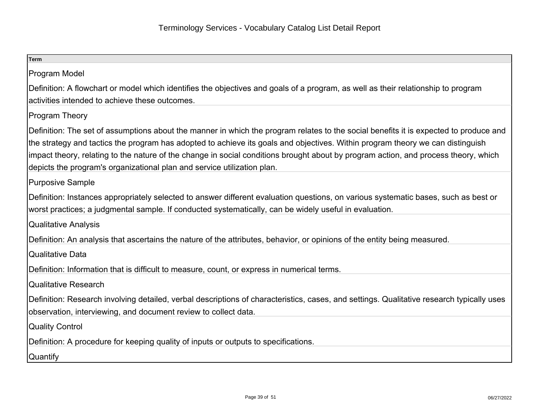| <b>Term</b>                                                                                                                                                                                                                                                                                                                                                                                                                                                                               |
|-------------------------------------------------------------------------------------------------------------------------------------------------------------------------------------------------------------------------------------------------------------------------------------------------------------------------------------------------------------------------------------------------------------------------------------------------------------------------------------------|
| Program Model                                                                                                                                                                                                                                                                                                                                                                                                                                                                             |
| Definition: A flowchart or model which identifies the objectives and goals of a program, as well as their relationship to program<br>activities intended to achieve these outcomes.                                                                                                                                                                                                                                                                                                       |
| <b>Program Theory</b>                                                                                                                                                                                                                                                                                                                                                                                                                                                                     |
| Definition: The set of assumptions about the manner in which the program relates to the social benefits it is expected to produce and<br>the strategy and tactics the program has adopted to achieve its goals and objectives. Within program theory we can distinguish<br>impact theory, relating to the nature of the change in social conditions brought about by program action, and process theory, which<br>depicts the program's organizational plan and service utilization plan. |
| Purposive Sample                                                                                                                                                                                                                                                                                                                                                                                                                                                                          |
| Definition: Instances appropriately selected to answer different evaluation questions, on various systematic bases, such as best or<br>worst practices; a judgmental sample. If conducted systematically, can be widely useful in evaluation.                                                                                                                                                                                                                                             |
| <b>Qualitative Analysis</b>                                                                                                                                                                                                                                                                                                                                                                                                                                                               |
| Definition: An analysis that ascertains the nature of the attributes, behavior, or opinions of the entity being measured.                                                                                                                                                                                                                                                                                                                                                                 |
| <b>Qualitative Data</b>                                                                                                                                                                                                                                                                                                                                                                                                                                                                   |
| Definition: Information that is difficult to measure, count, or express in numerical terms.                                                                                                                                                                                                                                                                                                                                                                                               |
| <b>Qualitative Research</b>                                                                                                                                                                                                                                                                                                                                                                                                                                                               |
| Definition: Research involving detailed, verbal descriptions of characteristics, cases, and settings. Qualitative research typically uses<br>observation, interviewing, and document review to collect data.                                                                                                                                                                                                                                                                              |
| <b>Quality Control</b>                                                                                                                                                                                                                                                                                                                                                                                                                                                                    |
| Definition: A procedure for keeping quality of inputs or outputs to specifications.                                                                                                                                                                                                                                                                                                                                                                                                       |
| <b>Quantify</b>                                                                                                                                                                                                                                                                                                                                                                                                                                                                           |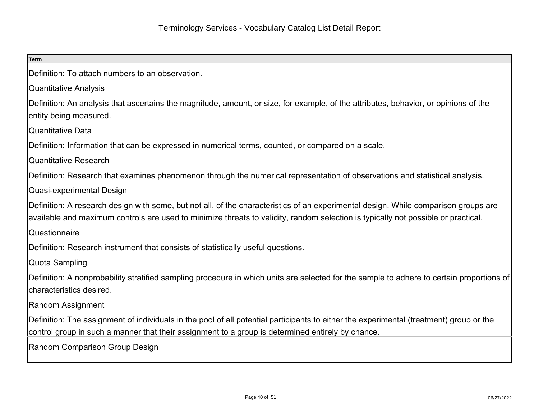| <b>Term</b>                                                                                                                                                                                                                                                              |
|--------------------------------------------------------------------------------------------------------------------------------------------------------------------------------------------------------------------------------------------------------------------------|
| Definition: To attach numbers to an observation.                                                                                                                                                                                                                         |
| <b>Quantitative Analysis</b>                                                                                                                                                                                                                                             |
| Definition: An analysis that ascertains the magnitude, amount, or size, for example, of the attributes, behavior, or opinions of the<br>entity being measured.                                                                                                           |
| <b>Quantitative Data</b>                                                                                                                                                                                                                                                 |
| Definition: Information that can be expressed in numerical terms, counted, or compared on a scale.                                                                                                                                                                       |
| <b>Quantitative Research</b>                                                                                                                                                                                                                                             |
| Definition: Research that examines phenomenon through the numerical representation of observations and statistical analysis.                                                                                                                                             |
| Quasi-experimental Design                                                                                                                                                                                                                                                |
| Definition: A research design with some, but not all, of the characteristics of an experimental design. While comparison groups are<br>available and maximum controls are used to minimize threats to validity, random selection is typically not possible or practical. |
| Questionnaire                                                                                                                                                                                                                                                            |
| Definition: Research instrument that consists of statistically useful questions.                                                                                                                                                                                         |
| Quota Sampling                                                                                                                                                                                                                                                           |
| Definition: A nonprobability stratified sampling procedure in which units are selected for the sample to adhere to certain proportions of<br>characteristics desired.                                                                                                    |
| Random Assignment                                                                                                                                                                                                                                                        |
| Definition: The assignment of individuals in the pool of all potential participants to either the experimental (treatment) group or the<br>control group in such a manner that their assignment to a group is determined entirely by chance.                             |
| Random Comparison Group Design                                                                                                                                                                                                                                           |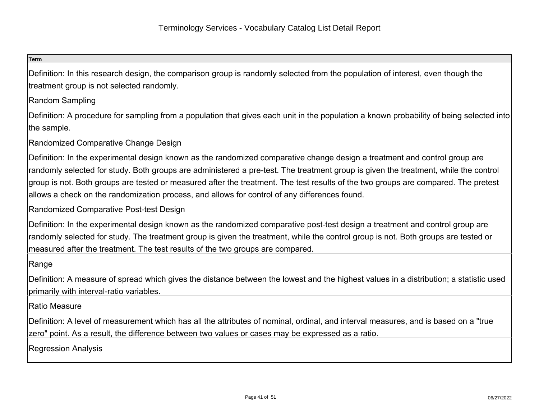## **Term**

Definition: In this research design, the comparison group is randomly selected from the population of interest, even though thetreatment group is not selected randomly.

Random Sampling

Definition: A procedure for sampling from a population that gives each unit in the population a known probability of being selected intothe sample.

Randomized Comparative Change Design

Definition: In the experimental design known as the randomized comparative change design a treatment and control group arerandomly selected for study. Both groups are administered a pre-test. The treatment group is given the treatment, while the controlgroup is not. Both groups are tested or measured after the treatment. The test results of the two groups are compared. The pretestallows a check on the randomization process, and allows for control of any differences found.

Randomized Comparative Post-test Design

Definition: In the experimental design known as the randomized comparative post-test design a treatment and control group are randomly selected for study. The treatment group is given the treatment, while the control group is not. Both groups are tested ormeasured after the treatment. The test results of the two groups are compared.

Range

Definition: A measure of spread which gives the distance between the lowest and the highest values in a distribution; a statistic usedprimarily with interval-ratio variables.

## Ratio Measure

Definition: A level of measurement which has all the attributes of nominal, ordinal, and interval measures, and is based on a "truezero" point. As a result, the difference between two values or cases may be expressed as a ratio.

Regression Analysis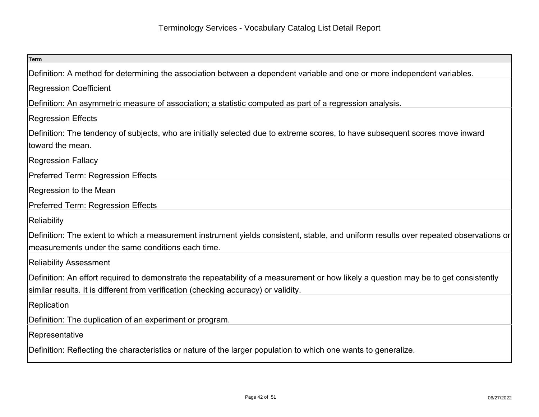| <b>Term</b>                                                                                                                                                                                |
|--------------------------------------------------------------------------------------------------------------------------------------------------------------------------------------------|
| Definition: A method for determining the association between a dependent variable and one or more independent variables.                                                                   |
| <b>Regression Coefficient</b>                                                                                                                                                              |
| Definition: An asymmetric measure of association; a statistic computed as part of a regression analysis.                                                                                   |
| <b>Regression Effects</b>                                                                                                                                                                  |
| Definition: The tendency of subjects, who are initially selected due to extreme scores, to have subsequent scores move inward                                                              |
| toward the mean.                                                                                                                                                                           |
| <b>Regression Fallacy</b>                                                                                                                                                                  |
| Preferred Term: Regression Effects                                                                                                                                                         |
| Regression to the Mean                                                                                                                                                                     |
| Preferred Term: Regression Effects                                                                                                                                                         |
| Reliability                                                                                                                                                                                |
| Definition: The extent to which a measurement instrument yields consistent, stable, and uniform results over repeated observations or<br>measurements under the same conditions each time. |
| <b>Reliability Assessment</b>                                                                                                                                                              |
| Definition: An effort required to demonstrate the repeatability of a measurement or how likely a question may be to get consistently                                                       |
| similar results. It is different from verification (checking accuracy) or validity.                                                                                                        |
| Replication                                                                                                                                                                                |
| Definition: The duplication of an experiment or program.                                                                                                                                   |
| Representative                                                                                                                                                                             |
| Definition: Reflecting the characteristics or nature of the larger population to which one wants to generalize.                                                                            |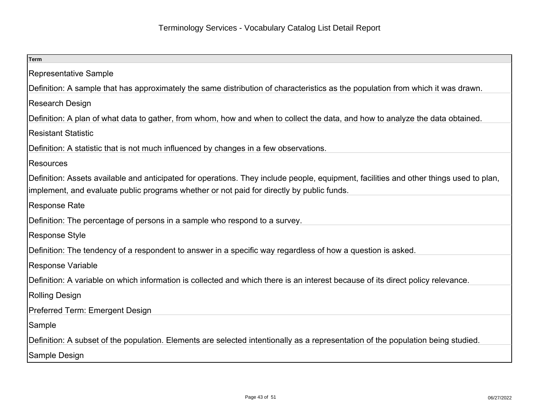| <b>Term</b>                                                                                                                            |
|----------------------------------------------------------------------------------------------------------------------------------------|
| Representative Sample                                                                                                                  |
| Definition: A sample that has approximately the same distribution of characteristics as the population from which it was drawn.        |
| Research Design                                                                                                                        |
| Definition: A plan of what data to gather, from whom, how and when to collect the data, and how to analyze the data obtained.          |
| <b>Resistant Statistic</b>                                                                                                             |
| Definition: A statistic that is not much influenced by changes in a few observations.                                                  |
| <b>Resources</b>                                                                                                                       |
| Definition: Assets available and anticipated for operations. They include people, equipment, facilities and other things used to plan, |
| implement, and evaluate public programs whether or not paid for directly by public funds.                                              |
| <b>Response Rate</b>                                                                                                                   |
| Definition: The percentage of persons in a sample who respond to a survey.                                                             |
| Response Style                                                                                                                         |
| Definition: The tendency of a respondent to answer in a specific way regardless of how a question is asked.                            |
| <b>Response Variable</b>                                                                                                               |
| Definition: A variable on which information is collected and which there is an interest because of its direct policy relevance.        |
| Rolling Design                                                                                                                         |
| Preferred Term: Emergent Design                                                                                                        |
| Sample                                                                                                                                 |
| Definition: A subset of the population. Elements are selected intentionally as a representation of the population being studied.       |
| Sample Design                                                                                                                          |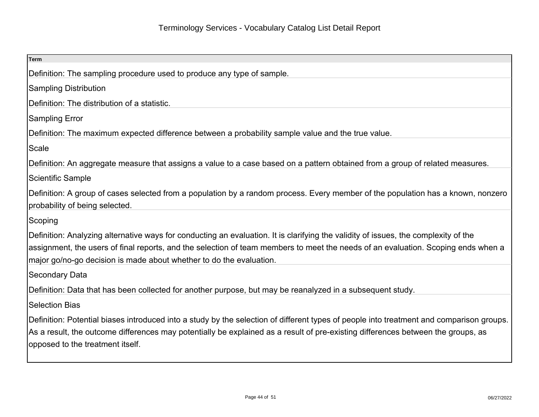| <b>Term</b>                                                                                                                                                                                                                                                                                                                                     |
|-------------------------------------------------------------------------------------------------------------------------------------------------------------------------------------------------------------------------------------------------------------------------------------------------------------------------------------------------|
| Definition: The sampling procedure used to produce any type of sample.                                                                                                                                                                                                                                                                          |
| <b>Sampling Distribution</b>                                                                                                                                                                                                                                                                                                                    |
| Definition: The distribution of a statistic.                                                                                                                                                                                                                                                                                                    |
| <b>Sampling Error</b>                                                                                                                                                                                                                                                                                                                           |
| Definition: The maximum expected difference between a probability sample value and the true value.                                                                                                                                                                                                                                              |
| Scale                                                                                                                                                                                                                                                                                                                                           |
| Definition: An aggregate measure that assigns a value to a case based on a pattern obtained from a group of related measures.                                                                                                                                                                                                                   |
| <b>Scientific Sample</b>                                                                                                                                                                                                                                                                                                                        |
| Definition: A group of cases selected from a population by a random process. Every member of the population has a known, nonzero<br>probability of being selected.                                                                                                                                                                              |
| Scoping                                                                                                                                                                                                                                                                                                                                         |
| Definition: Analyzing alternative ways for conducting an evaluation. It is clarifying the validity of issues, the complexity of the<br>assignment, the users of final reports, and the selection of team members to meet the needs of an evaluation. Scoping ends when a<br>major go/no-go decision is made about whether to do the evaluation. |
| <b>Secondary Data</b>                                                                                                                                                                                                                                                                                                                           |
| Definition: Data that has been collected for another purpose, but may be reanalyzed in a subsequent study.                                                                                                                                                                                                                                      |
| <b>Selection Bias</b>                                                                                                                                                                                                                                                                                                                           |
| Definition: Potential biases introduced into a study by the selection of different types of people into treatment and comparison groups.<br>As a result, the outcome differences may potentially be explained as a result of pre-existing differences between the groups, as<br>opposed to the treatment itself.                                |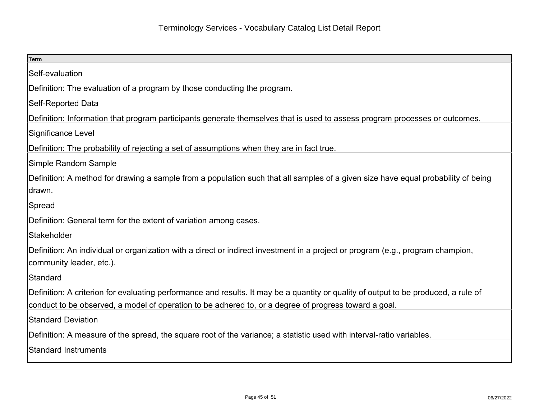| Term                                                                                                                                                                                                                                         |
|----------------------------------------------------------------------------------------------------------------------------------------------------------------------------------------------------------------------------------------------|
| Self-evaluation                                                                                                                                                                                                                              |
| Definition: The evaluation of a program by those conducting the program.                                                                                                                                                                     |
| Self-Reported Data                                                                                                                                                                                                                           |
| Definition: Information that program participants generate themselves that is used to assess program processes or outcomes.                                                                                                                  |
| Significance Level                                                                                                                                                                                                                           |
| Definition: The probability of rejecting a set of assumptions when they are in fact true.                                                                                                                                                    |
| Simple Random Sample                                                                                                                                                                                                                         |
| Definition: A method for drawing a sample from a population such that all samples of a given size have equal probability of being<br>drawn.                                                                                                  |
| Spread                                                                                                                                                                                                                                       |
| Definition: General term for the extent of variation among cases.                                                                                                                                                                            |
| Stakeholder                                                                                                                                                                                                                                  |
| Definition: An individual or organization with a direct or indirect investment in a project or program (e.g., program champion,<br>community leader, etc.).                                                                                  |
| Standard                                                                                                                                                                                                                                     |
| Definition: A criterion for evaluating performance and results. It may be a quantity or quality of output to be produced, a rule of<br>conduct to be observed, a model of operation to be adhered to, or a degree of progress toward a goal. |
| <b>Standard Deviation</b>                                                                                                                                                                                                                    |
| Definition: A measure of the spread, the square root of the variance; a statistic used with interval-ratio variables.                                                                                                                        |
| Standard Instruments                                                                                                                                                                                                                         |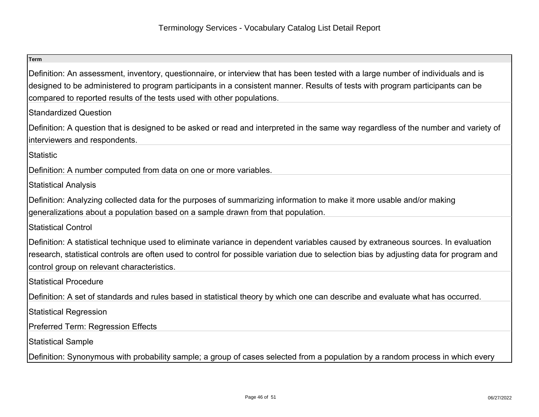| <b>Term</b>                                                                                                                                                                                                                                                                                                                                 |
|---------------------------------------------------------------------------------------------------------------------------------------------------------------------------------------------------------------------------------------------------------------------------------------------------------------------------------------------|
| Definition: An assessment, inventory, questionnaire, or interview that has been tested with a large number of individuals and is<br>designed to be administered to program participants in a consistent manner. Results of tests with program participants can be<br>compared to reported results of the tests used with other populations. |
| Standardized Question                                                                                                                                                                                                                                                                                                                       |
| Definition: A question that is designed to be asked or read and interpreted in the same way regardless of the number and variety of<br>interviewers and respondents.                                                                                                                                                                        |
| Statistic                                                                                                                                                                                                                                                                                                                                   |
| Definition: A number computed from data on one or more variables.                                                                                                                                                                                                                                                                           |
| Statistical Analysis                                                                                                                                                                                                                                                                                                                        |
| Definition: Analyzing collected data for the purposes of summarizing information to make it more usable and/or making<br>generalizations about a population based on a sample drawn from that population.                                                                                                                                   |
| Statistical Control                                                                                                                                                                                                                                                                                                                         |
| Definition: A statistical technique used to eliminate variance in dependent variables caused by extraneous sources. In evaluation<br>research, statistical controls are often used to control for possible variation due to selection bias by adjusting data for program and<br>control group on relevant characteristics.                  |
| Statistical Procedure                                                                                                                                                                                                                                                                                                                       |
| Definition: A set of standards and rules based in statistical theory by which one can describe and evaluate what has occurred.                                                                                                                                                                                                              |
| Statistical Regression                                                                                                                                                                                                                                                                                                                      |
| <b>Preferred Term: Regression Effects</b>                                                                                                                                                                                                                                                                                                   |
| Statistical Sample                                                                                                                                                                                                                                                                                                                          |
| Definition: Synonymous with probability sample; a group of cases selected from a population by a random process in which every                                                                                                                                                                                                              |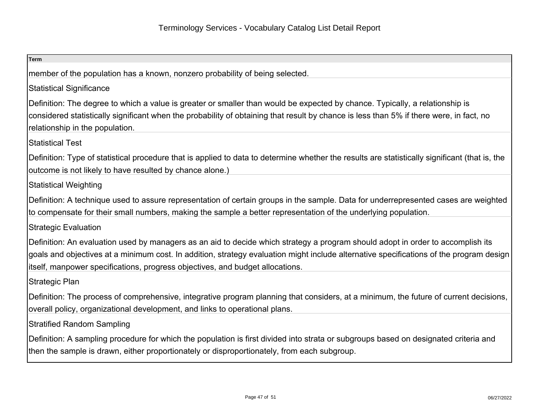| <b>Term</b>                                                                                                                                                                                                                                                                                                                                                  |
|--------------------------------------------------------------------------------------------------------------------------------------------------------------------------------------------------------------------------------------------------------------------------------------------------------------------------------------------------------------|
| member of the population has a known, nonzero probability of being selected.                                                                                                                                                                                                                                                                                 |
| <b>Statistical Significance</b>                                                                                                                                                                                                                                                                                                                              |
| Definition: The degree to which a value is greater or smaller than would be expected by chance. Typically, a relationship is<br>considered statistically significant when the probability of obtaining that result by chance is less than 5% if there were, in fact, no                                                                                      |
| relationship in the population.                                                                                                                                                                                                                                                                                                                              |
| <b>Statistical Test</b>                                                                                                                                                                                                                                                                                                                                      |
| Definition: Type of statistical procedure that is applied to data to determine whether the results are statistically significant (that is, the<br>outcome is not likely to have resulted by chance alone.)                                                                                                                                                   |
| <b>Statistical Weighting</b>                                                                                                                                                                                                                                                                                                                                 |
| Definition: A technique used to assure representation of certain groups in the sample. Data for underrepresented cases are weighted<br>to compensate for their small numbers, making the sample a better representation of the underlying population.                                                                                                        |
| <b>Strategic Evaluation</b>                                                                                                                                                                                                                                                                                                                                  |
| Definition: An evaluation used by managers as an aid to decide which strategy a program should adopt in order to accomplish its<br>goals and objectives at a minimum cost. In addition, strategy evaluation might include alternative specifications of the program design<br>litself, manpower specifications, progress objectives, and budget allocations. |
| Strategic Plan                                                                                                                                                                                                                                                                                                                                               |
| Definition: The process of comprehensive, integrative program planning that considers, at a minimum, the future of current decisions,<br>overall policy, organizational development, and links to operational plans.                                                                                                                                         |
| <b>Stratified Random Sampling</b>                                                                                                                                                                                                                                                                                                                            |
| Definition: A sampling procedure for which the population is first divided into strata or subgroups based on designated criteria and<br>then the sample is drawn, either proportionately or disproportionately, from each subgroup.                                                                                                                          |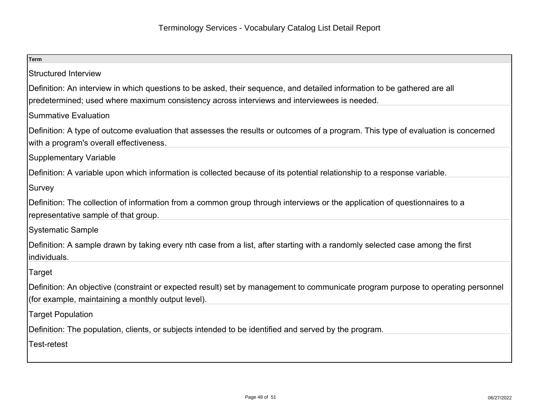| <b>Term</b>                                                                                                                                                                  |
|------------------------------------------------------------------------------------------------------------------------------------------------------------------------------|
| Structured Interview                                                                                                                                                         |
| Definition: An interview in which questions to be asked, their sequence, and detailed information to be gathered are all                                                     |
| predetermined; used where maximum consistency across interviews and interviewees is needed.                                                                                  |
| Summative Evaluation                                                                                                                                                         |
| Definition: A type of outcome evaluation that assesses the results or outcomes of a program. This type of evaluation is concerned<br>with a program's overall effectiveness. |
| Supplementary Variable                                                                                                                                                       |
| Definition: A variable upon which information is collected because of its potential relationship to a response variable.                                                     |
| Survey                                                                                                                                                                       |
| Definition: The collection of information from a common group through interviews or the application of questionnaires to a                                                   |
| representative sample of that group.                                                                                                                                         |
| Systematic Sample                                                                                                                                                            |
| Definition: A sample drawn by taking every nth case from a list, after starting with a randomly selected case among the first<br>individuals.                                |
|                                                                                                                                                                              |
| Target                                                                                                                                                                       |
| Definition: An objective (constraint or expected result) set by management to communicate program purpose to operating personnel                                             |
| (for example, maintaining a monthly output level).                                                                                                                           |
| <b>Target Population</b>                                                                                                                                                     |
| Definition: The population, clients, or subjects intended to be identified and served by the program.                                                                        |
| <b>Test-retest</b>                                                                                                                                                           |
|                                                                                                                                                                              |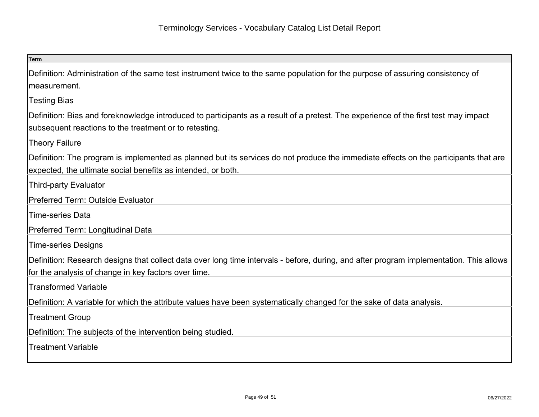| <b>Term</b>                                                                                                                                                                                          |
|------------------------------------------------------------------------------------------------------------------------------------------------------------------------------------------------------|
| Definition: Administration of the same test instrument twice to the same population for the purpose of assuring consistency of<br>measurement.                                                       |
| <b>Testing Bias</b>                                                                                                                                                                                  |
| Definition: Bias and foreknowledge introduced to participants as a result of a pretest. The experience of the first test may impact<br>subsequent reactions to the treatment or to retesting.        |
| <b>Theory Failure</b>                                                                                                                                                                                |
| Definition: The program is implemented as planned but its services do not produce the immediate effects on the participants that are<br>expected, the ultimate social benefits as intended, or both. |
| <b>Third-party Evaluator</b>                                                                                                                                                                         |
| <b>Preferred Term: Outside Evaluator</b>                                                                                                                                                             |
| <b>Time-series Data</b>                                                                                                                                                                              |
| Preferred Term: Longitudinal Data                                                                                                                                                                    |
| <b>Time-series Designs</b>                                                                                                                                                                           |
| Definition: Research designs that collect data over long time intervals - before, during, and after program implementation. This allows<br>for the analysis of change in key factors over time.      |
| <b>Transformed Variable</b>                                                                                                                                                                          |
| Definition: A variable for which the attribute values have been systematically changed for the sake of data analysis.                                                                                |
| <b>Treatment Group</b>                                                                                                                                                                               |
| Definition: The subjects of the intervention being studied.                                                                                                                                          |
| <b>Treatment Variable</b>                                                                                                                                                                            |
|                                                                                                                                                                                                      |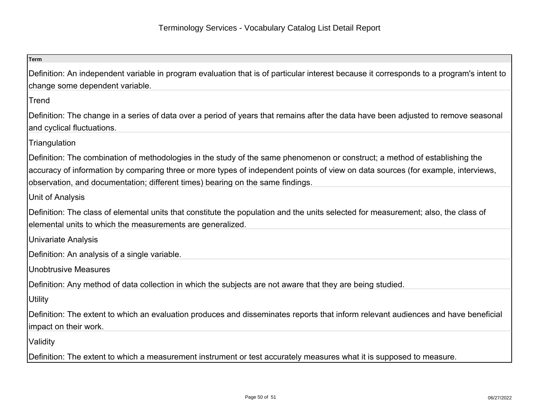| <b>Term</b>                                                                                                                                                                                                                                                                                                                                       |
|---------------------------------------------------------------------------------------------------------------------------------------------------------------------------------------------------------------------------------------------------------------------------------------------------------------------------------------------------|
| Definition: An independent variable in program evaluation that is of particular interest because it corresponds to a program's intent to<br>change some dependent variable.                                                                                                                                                                       |
| Trend                                                                                                                                                                                                                                                                                                                                             |
| Definition: The change in a series of data over a period of years that remains after the data have been adjusted to remove seasonal<br>and cyclical fluctuations.                                                                                                                                                                                 |
| Triangulation                                                                                                                                                                                                                                                                                                                                     |
| Definition: The combination of methodologies in the study of the same phenomenon or construct; a method of establishing the<br>accuracy of information by comparing three or more types of independent points of view on data sources (for example, interviews,<br>observation, and documentation; different times) bearing on the same findings. |
| Unit of Analysis                                                                                                                                                                                                                                                                                                                                  |
| Definition: The class of elemental units that constitute the population and the units selected for measurement; also, the class of<br>elemental units to which the measurements are generalized.                                                                                                                                                  |
| <b>Univariate Analysis</b>                                                                                                                                                                                                                                                                                                                        |
| Definition: An analysis of a single variable.                                                                                                                                                                                                                                                                                                     |
| <b>Unobtrusive Measures</b>                                                                                                                                                                                                                                                                                                                       |
| Definition: Any method of data collection in which the subjects are not aware that they are being studied.                                                                                                                                                                                                                                        |
| <b>Utility</b>                                                                                                                                                                                                                                                                                                                                    |
| Definition: The extent to which an evaluation produces and disseminates reports that inform relevant audiences and have beneficial<br>impact on their work.                                                                                                                                                                                       |
| Validity                                                                                                                                                                                                                                                                                                                                          |
| Definition: The extent to which a measurement instrument or test accurately measures what it is supposed to measure.                                                                                                                                                                                                                              |